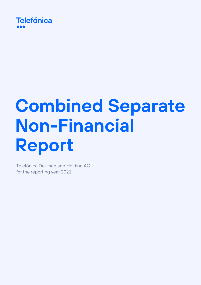

# **Combined Separate Non-Financial Report**

Telefónica Deutschland Holding AG for the reporting year 2021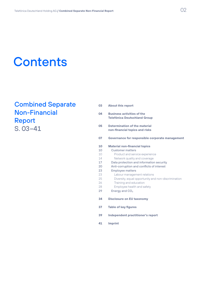## **Contents**

### Combined Separate Non-Financial Report S. 03–41

**[04 Business activities of the](#page-3-0)  [Telefónica Deutschland Group](#page-3-0) [05 Determination of the material](#page-4-0)  [non-financial topics and risks](#page-4-0) [07 Governance for responsible corporate management](#page-6-0) [10 Material non-financial topics](#page-9-0)** [10 Customer matters](#page-9-0) 10[Product and service experience](#page-9-0) 14[Network quality and coverage](#page-13-0) [17 Data protection and information security](#page-16-0) [20 Anti-corruption and conflicts of interest](#page-19-0) [23 Employee matters](#page-22-0) 23[Labour management relations](#page-22-0) 25[Diversity, equal opportunity and non-discrimination](#page-24-0) 26[Training and education](#page-25-0) 28[Employee health and safety](#page-27-0)  29 Energy and CO<sub>2</sub> **[34 Disclosure on EU taxonomy](#page-33-0)  [37 Table of key figures](#page-36-0)  [39 Independent practitioner's report](#page-38-0)**

**[03 About this report](#page-2-0)**

**[41 Imprint](#page-40-0)**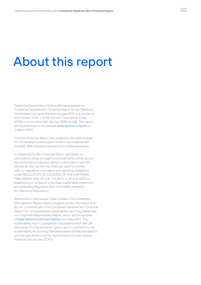# <span id="page-2-0"></span>About this report

Telefónica Deutschland Holding AG has prepared the Combined Separate Non-Financial Report for the Telefónica Deutschland Group for the financial year 2021 in accordance with Section 315b, c of the German Commercial Code (HGB) in conjunction with Section 289b–e HGB. This report will be published on the website [www.telefonica.de/nfs](https://www.telefonica.de/investor-relations-en/publications/financial-publications.html) on 2 March 2022.

The Non-Financial Report was audited by the external audit firm PricewaterhouseCoopers GmbH in accordance with the ISAE 3000 (Revised) standard with limited assurance.

In preparing the Non-Financial Report, we based our descriptions of the concepts and presentation of the various key performance indicators (KPIs) in particular on the GRI Standards. We use this non-financial report to comply with our regulatory information and reporting obligations under REGULATION (EU) 2020/852 OF THE EUROPEAN PARLIAMENT AND OF THE COUNCIL of 18 June 2020 on establishing a framework to facilitate sustainable investment and amending Regulation (EU) 2019/2088 (hereafter EU Taxonomy Regulation).

References to disclosures made outside of the Combined Management Report relate to supplementary information and do not constitute part of the Combined Separate Non-Financial Report. For comprehensive sustainability reporting, please see our Corporate Responsibility Report, which will be available at [www.telefonica.de/responsibility](https://www.telefonica.de/responsibility.html) from May 2022. This sustainability report is prepared in accordance with the GRI Standards ("Comprehensive" option) and in orientation to the Sustainability Accounting Standards Board (SASB) frameworks and the specifications of the Task Force on Climate-related Financial Disclosures (TCFD).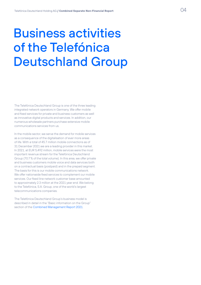## <span id="page-3-0"></span>Business activities of the Telefónica Deutschland Group

The Telefónica Deutschland Group is one of the three leading integrated network operators in Germany. We offer mobile and fixed services for private and business customers as well as innovative digital products and services. In addition, our numerous wholesale partners purchase extensive mobile communications services from us.

In the mobile sector, we serve the demand for mobile services as a consequence of the digitalisation of ever more areas of life. With a total of 45.7 million mobile connections as of 31 December 2021 we are a leading provider in this market. In 2021, at EUR 5,492 million, mobile services were the most important revenue stream for the Telefónica Deutschland Group (70.7% of the total volume). In this area, we offer private and business customers mobile voice and data services both on a contractual basis (postpaid) and in the prepaid segment. The basis for this is our mobile communications network. We offer nationwide fixed services to complement our mobile services. Our fixed line network customer base amounted to approximately 2.3 million at the 2021 year end. We belong to the Telefónica, S.A. Group, one of the world's largest telecommunications companies.

The Telefónica Deutschland Group's business model is described in detail in the "Basic information on the Group" section of the [Combined Management Report 2021.](https://www.telefonica.de/investor-relations-en/annual-report.html)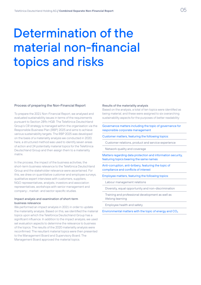## <span id="page-4-0"></span>Determination of the material non-financial topics and risks

#### Process of preparing the Non-Financial Report

To prepare the 2021 Non-Financial Report, we analysed and evaluated sustainability issues in terms of the requirements pursuant to Section 289c HGB. The Telefónica Deutschland Group's CR strategy is managed within the organisation via the Responsible Business Plan (RBP) 2025 and aims to achieve various sustainability targets. The RBP 2025 was developed on the basis of a materiality analysis we conducted in 2020; here, a structured method was used to identify seven areas of action and 24 potentially material topics for the Telefónica Deutschland Group and then assign them to a materiality matrix.

In the process, the impact of the business activities, the short-term business relevance to the Telefónica Deutschland Group and the stakeholder relevance were ascertained. For this, we drew on quantitative customer and employee surveys, qualitative expert interviews with customers, suppliers, NGO representatives, analysts, investors and association representatives, workshops with senior management and company-, market- and sector-specific studies.

#### Impact analysis and examination of short-term business relevance

We performed an impact analysis in 2021 in order to update the materiality analysis. Based on this, we identified the material topics upon which the Telefónica Deutschland Group has a significant influence. In addition to the impact analysis, we used set evaluation aspects to determine the relevance to business of the topics. The results of the 2020 materiality analysis were reconfirmed. The resultant material topics were then presented to the Management Board and Supervisory Board. The Management Board approved the material topics.

#### Results of the materiality analysis

Based on the analysis, a total of ten topics were identified as being material, and these were assigned to six overarching sustainability aspects for the purposes of better readability:

Governance matters including the topic of governance for responsible corporate management

Customer matters, featuring the following topics:

Customer relations, product and service experience

Network quality and coverage

Matters regarding data protection and information security, featuring topics bearing the same names

Anti-corruption, anti-bribery, featuring the topic of compliance and conflicts of interest

Employee matters, featuring the following topics:

Labour management relations

Diversity, equal opportunity and non-discrimination

Training and professional development as well as lifelong learning

Employee health and safety

Environmental matters with the topic of energy and CO₂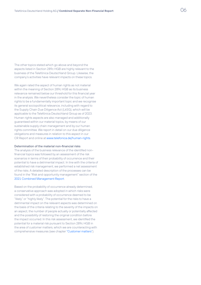The other topics stated which go above and beyond the aspects listed in Section 289c HGB are highly relevant to the business of the Telefónica Deutschland Group. Likewise, the company's activities have relevant impacts on these topics.

We again rated the aspect of human rights as not material within the meaning of Section 289c HGB as its business relevance remained below our threshold for this financial year in the analysis. We nevertheless consider the topic of human rights to be a fundamentally important topic and we recognise its general sociopolitical relevance, including with regard to the Supply Chain Due Diligence Act (LkSG), which will be applicable to the Telefónica Deutschland Group as of 2023. Human rights aspects are also managed and additionally guaranteed within our material topics, by means of our sustainable supply chain management and by our human rights committee. We report in detail on our due diligence obligations and measures in relation to this aspect in our CR Report and online at [www.telefonica.de/human-rights](http://www.telefonica.de/human-rights).

#### Determination of the material non-financial risks

The analysis of the business relevance of the identified nonfinancial topics was followed by an assessment of the risk scenarios in terms of their probability of occurrence and their potential to have a detrimental impact. In line with the criteria of established risk management, we performed a net assessment of the risks. A detailed description of the processes can be found in the "Risk and opportunity management" section of the [2021 Combined Management Report.](https://www.telefonica.de/investor-relations-en/annual-report.html)

Based on the probability of occurrence already determined, a conservative approach was adopted in which risks were considered with a probability of occurrence deemed to be "likely" or "highly likely". The potential for the risks to have a detrimental impact on the relevant aspects was determined on the basis of the criteria relating to the severity of the impacts on an aspect, the number of people actually or potentially affected and the possibility of restoring the original condition before the impact occurred. In this risk assessment, we identified the potential for a material risk pursuant to Section 289c HGB in the area of customer matters, which we are counteracting with comprehensive measures (see chapter ["Customer matters"](#page-9-0)).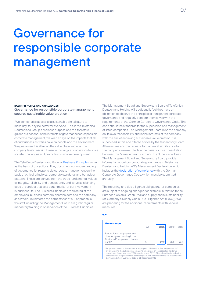## <span id="page-6-0"></span>Governance for responsible corporate management

#### **BASIC PRINCIPLE AND CHALLENGES**

Governance for responsible corporate management secures sustainable value creation

"We democratise access to a sustainable digital future to make day-to-day life better for everyone." This is the Telefónica Deutschland Group's business purpose and this therefore guides our actions. In the interests of governance for responsible corporate management, we keep an eye on the impacts that all of our business activities have on people and the environment. We guarantee this all along the value chain and at all the company levels. We aim to use technological innovations to solve societal challenges and promote sustainable development.

The Telefónica Deutschland Group's [Business Principles](https://www.telefonica.de/file/public/776/Telefonica-Business-Principles-en--01-2018.pdf?attachment=1) serve as the basis of our actions. They document our understanding of governance for responsible corporate management on the basis of ethical principles, corporate standards and behaviour patterns. These are derived from the three fundamental values of integrity, reliability and transparency and serve as a binding code of conduct that sets benchmarks for our involvement in business life. The Business Principles are directed at the employees, business partners, shareholders and the company as a whole. To reinforce the earnestness of our approach, all the staff including the Management Board are given regular mandatory training in observance of the Business Principles.

The Management Board and Supervisory Board of Telefónica Deutschland Holding AG additionally feel they have an obligation to observe the principles of transparent corporate governance and regularly concern themselves with the requirements of the German Corporate Governance Code. This code stipulates standards for the supervision and management of listed companies. The Management Board runs the company on its own responsibility and in the interests of the company with the aim of achieving sustainable value creation. It is supervised in this and offered advice by the Supervisory Board. All measures and decisions of fundamental significance to the company are executed on the basis of close consultation between the Management Board and the Supervisory Board. The Management Board and Supervisory Board provide information about our corporate governance in Telefónica Deutschland Holding AG's Management Declaration, which includes the [declaration of compliance](https://www.telefonica.de/declaration-of-compliance) with the German Corporate Governance Code, which must be submitted annually.

The reporting and due diligence obligations for companies are subject to ongoing changes, for example in relation to the European Union's Green Deal and supply chain sustainability (cf. Germany's Supply Chain Due Diligence Act (LkSG)). We are preparing for the additional requirements with various measures.

#### **T 01**

#### **Governance**

| 2021 | 2020 | 2019 |
|------|------|------|
|      |      |      |
|      | 97.7 | 95 R |

1 Proportion based on the number of employees of Telefónica Germany GmbH & Co. OHG including the subsidiaries, excluding employees on sabbatical and external consultants (employee base 7,030, previous year 7,717). The calculation includes the<br>completed training units of the last three years. For 2021 this means 6,870 completed<br>training units from 1 January 2019 to 31 December 2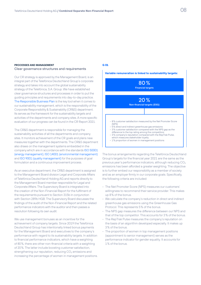### **PROCESSES AND MANAGEMENT**

#### Clear governance structures and requirements

Our CR strategy is approved by the Management Board, is an integral part of the Telefónica Deutschland Group's corporate strategy and takes into account the global sustainability strategy of the Telefónica, S.A. Group. We have established clear governance structures and processes in order to put the guiding principles and requirements into day-to-day practice. [The Responsible Business Plan](https://www.telefonica.de/csr-bericht-responsible-business-plan-2025-cr-zeile-ab-2021-en) is the key tool when it comes to our sustainability management, which is the responsibility of the Corporate Responsibility & Sustainability (CR&S) department. Its serves as the framework for the sustainability targets and activities of the departments and company sites. A more specific evaluation of our progress can be found in the CR Report 2021.

The CR&S department is responsible for managing the sustainability activities of all the departments and company sites. It monitors achievement of the CR goals and plans new measures together with the departments. The CR&S department also draws on the management systems embedded in the company which are in accordance with the standards [ISO 50001](https://www.telefonica.de/unternehmen/strategie-und-fakten/zertifizierungen-awards/iso-zertifikat-50001-2019-2021.html)  [\(energy management\),](https://www.telefonica.de/unternehmen/strategie-und-fakten/zertifizierungen-awards/iso-zertifikat-50001-2019-2021.html) [ISO 14001 \(environmental management\)](https://www.telefonica.de/unternehmen/strategie-und-fakten/zertifizierungen-awards/iso-zertifikat-140012015-2018-2021.html) and [ISO 9001 \(quality management\)](https://www.telefonica.de/unternehmen/strategie-und-fakten/zertifizierungen-awards/iso-zertifikat-90012015-2018-2021.html) for the purposes of goal formulation and a continuous improvement process.

As an executive department, the CR&S department is assigned to the Management Board division Legal and Corporate Affairs of Telefónica Deutschland Holding AG and reports directly to the Management Board member responsible for Legal and Corporate Affairs. The Supervisory Board is integrated into the creation of the Non-Financial Report for the fulfilment of the requirements pursuant to Section 315b in conjunction with Section 289b HGB. The Supervisory Board discusses the findings of the audit of the Non-Financial Report and the related performance indicators with the auditor and then passes a resolution following its own audit.

We use management bonuses as an incentive for the achievement of company targets. Since 2019 the Telefónica Deutschland Group has intentionally linked bonus payments for the Management Board and executives to the company's performance with regard to its sustainability targets. In addition to financial performance indicators, which have a weighting of 80%, there are other non-financial criteria with a weighting of 20%. The latter include boosting customer satisfaction, strengthening our reputation, reducing CO<sub>2</sub> emissions and increasing the percentage of women in management positions.

#### **G 01**

#### **Variable remuneration is linked to sustainability targets:**



The bonus arrangements regarding the Telefónica Deutschland Group's targets for the financial year 2021 are the same as the previous year's performance indicators, although reducing CO₂ emissions has been afforded a greater weighting. The objective is to further embed our responsibility as a member of society and as an employer firmly in our corporate goals. Specifically, the following criteria are included:

- The Net Promoter Score (NPS) measures our customers' willingness to recommend their service provider. This makes up 8% of the bonus.
- We calculate the company's reduction in direct and indirect greenhouse gas emissions using the Greenhouse Gas Protocol. This represents 5% of the bonus.
- The NPS gap measures the difference between our NPS and that of the top competitor. This accounts for 3% of the bonus.
- The RepTrak Pulse measures the company's reputation on the basis of an algorithm developed especially. It makes up 3% of the bonus.
- The proportion of women in top management positions (appointment to senior management) serves as the performance indicator for gender equality. It accounts for 1% of the bonus.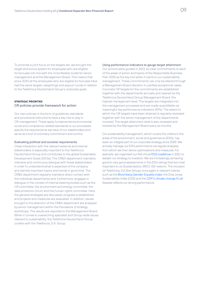To promote a joint focus on the targets set, we brought the target and bonus system for employees who are eligible for bonuses into line with the more flexible model for senior management and the Management Board. This means that since 2020 all the employees who are eligible for bonuses have had the same targets, weightings and payout curves in relation to the Telefónica Deutschland Group's corporate goals.

#### **STRATEGIC PRIORITIES**

#### CR policies provide framework for action

Our own policies in the form of guidelines, standards and procedural instructions have a key role to play in CR management. These apply fundamental environmental, social and compliance-related standards to our processes, specify the requirements we have of our stakeholders and serve as a tool of voluntary commitment and control.

#### Evaluating political and societal requirements

Close interaction with the relevant external and internal stakeholders is especially important to the Telefónica Deutschland Group and contributes to the global Sustainable Development Goals (SDGs). The CR&S department maintains intensive and continuous dialogue with these stakeholders in order to understand what is expected of the company and identify important topics and trends in good time. The CR&S department regularly maintains direct contact with the individual departments and, furthermore, engages in dialogue in the context of internal steering bodies such as the CR committee, the environment and energy committee, the data protection forum and the human rights committee. Here, the general strategies are discussed, progress is established and projects and measures are evaluated. In addition, issues brought to the attention of the CR&S department are analysed by senior management within the framework of strategy workshops. The results are reported to the Management Board. When it comes to overarching specialist and Group-wide issues relevant to sustainability, the Telefónica Deutschland Group confers with the Telefónica, S.A. Group.

#### Using performance indicators to gauge target attainment

Our actions were guided in 2021 by clear commitments to each of the areas of action and topics of the Responsible Business Plan 2025 as the key tool when it came to our sustainability management. These commitments can only be altered through a Management Board decision in justified exceptional cases. Concrete CR targets for the commitments are established together with the departments annually and cleared by the Telefónica Deutschland Group Management Board, the highest management level. The targets are integrated into the management processes and are made quantifiable via meaningful key performance indicators (KPIs). The extent to which the CR targets have been attained is regularly reviewed together with the senior management of the departments involved. The target attainment level is also reviewed and tracked by the Management Board every six months.

Our sustainability management, which covers the criteria in the areas of the environment, social and governance (ESG), has been an integral part of our corporate strategy since 2005. We actively manage our ESG performance via regular analyses, from which we then derive optimisations and measures. For example, we organised our first virtual [ESG roadshow](https://www.telefonica.de/file/public/825/Telefonica-Deutschland-ESG_Investor-Presentation-November-2021.pdf?attachment=1) in 2021 to explain our strategy to investors. We are increasingly achieving good to very good assessments in the ESG ratings that are most important to us (Sustainalytics, MSCI, ISS-oekom). The inclusion (of Telefónica, S.A./the Group) once again in relevant indices such as the [Bloomberg Gender-Equality Index](https://www.telefonica.de/news/corporate/2022/01/diversitaet-und-frauenfoerderung-o2-telefonica-verbessert-bewertung-im-bloomberg-gender-equality-index-2022.html?pk_campaign=related_news), the Dow Jones Sustainability Index (DJSI) and the [CDP's climate change A List](https://www.telefonica.com/es/sala-comunicacion/telefonica-distinguida-como-lider-mundial-en-inclusion-digital-y-gestion-del-cambio-climatico/) likewise reflects our strong performance.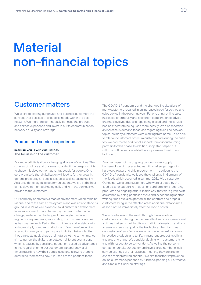# <span id="page-9-0"></span>**Material** non-financial topics

### Customer matters

We aspire to offering our private and business customers the services that best suit their specific needs within the best network. We therefore continuously optimise the product and service experience and invest in our telecommunication network's quality and coverage.

#### Product and service experience

#### **BASIC PRINCIPLE AND CHALLENGES**  The focus is on the customer

Advancing digitalisation is changing all areas of our lives. The spheres of politics and business consider it their responsibility to shape this development advantageously for people. One core promise is that digitalisation will lead to further growth, general prosperity and social justice as well as sustainability. As a provider of digital telecommunications, we are at the heart of this development technologically and with the services we provide to the customers.

Our company operates in a market environment which remains rational and at the same time dynamic and was able to stand its ground in 2021 as well as record solid customer development. In an environment characterised by momentous technical change, we face the challenge of meeting technical and regulatory requirements, anticipating the customers' wishes as best we can and offering them guidance and assistance in an increasingly complex product world. We therefore aspire to enabling everyone to participate in digital life in order that they can sustainably shape their futures. At the same time, we aim to narrow the digital gap between different user groups which is caused by social and education-based disadvantages. In this regard, offering our customers transparency at all times regarding how their data is used and allowing them to determine themselves how it is used are top priorities for us.

The COVID-19 pandemic and the changed life situations of many customers resulted in an increased need for service and sales advice in the reporting year. For one thing, online sales increased enormously and a different combination of advice channels evolved due to shops being closed and the service hotlines therefore being used more heavily. We also recorded an increase in demand for advice regarding fixed line network topics, as many customers were working from home. To be able to offer our customers optimum customer care during the crisis too, we contracted additional support from our outsourcing partners for this phase. In addition, shop staff helped out with the hotline service while the shops were closed during lockdown.

Another impact of the ongoing pandemic was supply bottlenecks, which presented us with challenges regarding hardware, router and chip procurement. In addition to the COVID-19 pandemic, we faced the challenge in Germany of the floods which occurred in summer 2021. Via a separate O<sub>2</sub> hotline, we offered customers who were affected by the flood disaster support with questions and problems regarding products and ongoing orders. In this way, they were given swift assistance by being prioritised there and experiencing shorter waiting times. We also granted all the contract and prepaid customers living in the affected areas additional data volume at short notice immediately after the flood disaster.

We aspire to seeing the world through the eyes of our customers and offering them an excellent service experience at all times that suits their habits and individual needs. In addition to sales and service quality, the key factors when it comes to our customers' satisfaction are in particular value-for-money innovative products and tariffs, transparent product labelling and a strong brand. We consider dealing with customers fairly and with respect to be self-evident. As well as the personal contact channels, our customers have a large number of selfservice offerings at their disposal, meaning they are free to choose their preferred channel. We aim to further improve the online customer experience by further expanding our attractive and simple self-service offerings.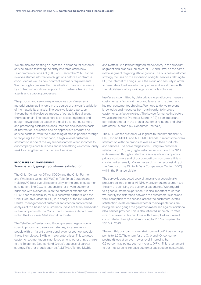We are also anticipating an increase in demand for customer service advice following the entry into force of the new Telecommunications Act (TKG) on 1 December 2021 as this involves stricter information obligations before a contract is concluded as well as new contract summary requirements. We thoroughly prepared for this situation change in advance by contracting additional support from partners, training the agents and adapting processes.

The product and service experience was confirmed as a material sustainability topic in the course of this year's validation of the materiality analysis. The decisive factors were, on the one hand, the diverse impacts of our activities all along the value chain. The focus here is on facilitating broad and straightforward participation in digital life for our customers and promoting sustainable consumer behaviour on the basis of information, education and an appropriate product and service portfolio, from the purchasing of mobile phones through to recycling. On the other hand, a high level of customer satisfaction is one of the key success factors when it comes to our company's core business and is something we continuously seek to strengthen with our array of services.

#### **PROCESSES AND MANAGEMENT** Transparently gauging customer satisfaction

The Chief Consumer Officer (CCO) and the Chief Partner and Wholesale Officer (CPWO) of Telefónica Deutschland Holding AG bear overall responsibility for the area of customer satisfaction. The CCO is responsible for private customer business with a clear focus on the customer experience, the CPWO has responsibility for business with partners, and the Chief Executive Officer (CEO) is in charge of the B2B division. Central management of customer satisfaction and detailed analysis of this based on customer surveys are firmly embedded in the company with the Consumer Experience department within the Customer Marketing directorate.

The Telefónica Deutschland Group pursues target-groupspecific product and service strategies, for example for people with a migrant background, older or younger people, the self-employed, SMEs or major enterprises. This targeted customer segmentation is achieved among other things thanks to the Telefónica Deutschland Group's successful partner strategy. Partner brands such as ALDI TALK, Tchibo MOBIL

and NettoKOM allow for targeted market entry in the discount segment and brands such as AY YILDIZ and Ortel do the same in the segment targeting ethnic groups. The business customer strategy focuses on the expansion of digital services relating to 5G, the Internet of Things (IoT), the cloud and security in order to generate added value for companies and assist them with their digitalisation by providing connectivity solutions.

Insofar as is permitted by data privacy legislation, we measure customer satisfaction at the brand level at all the direct and indirect customer touchpoints. We hope to derive relevant knowledge and measures from this in order to improve customer satisfaction further. The key performance indicators we use are the Net Promoter Score (NPS) as an important control parameter in the area of customer relations and churn rate of the O<sub>2</sub> brand (O<sub>2</sub> Consumer Postpaid).

The NPS verifies customer willingness to recommend the  $O<sub>2</sub>$ , Blau, Tchibo MOBIL and ALDI TALK brands. It reflects the overall satisfaction with the brands as well as with their products and services. The scale ranges from 1, very low customer satisfaction, to 10, very high customer satisfaction. The NPS is determined though a telephone survey of our company's private customers and of our competitors' customers; this is conducted externally. Market research is the responsibility of the Director of the Digital & Data Competence Center (DDC) within the Finance division.

The survey is conducted several times a year according to precisely defined criteria. All NPS improvement measures have the aim of optimising the customer experience. With regard to a good customer experience, it is also important to us that we identify the difference between the customers' wishes and their perception of the service, assess the customers' overall satisfaction levels, determine whether their expectations are being met and gauge the gap when measured against a fictional ideal service provider. This is also reflected in the churn rates, which remained at historic lows, with the implied annualised churn rate for the  $O<sub>2</sub>$  brand improving to  $11.1\%$  compared to 13.1% in 2020.

The monthly postpaid churn rate improved by 0.2 percentage points to 1.2%. The churn for the  $O_2$  brand  $(O_2)$  consumer postpaid) was at an even lower level, improving by 0.2 percentage points year-on-year to 0.9%1. This is testament to our measures to increase customer satisfaction, sustainable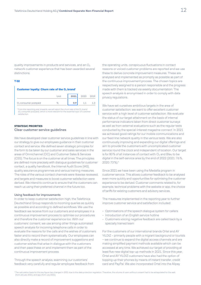quality improvements in products and services, and an O₂ network customer experience that has been awarded several distinctions.

#### **T 02**

#### **Customer loyalty: Churn rate of the O₂ brand1**



From this reporting year onwards, we will report the churn rate of the  $O<sub>2</sub>$  brand  $(O<sub>2</sub>$  consumer postpaid), which is more relevant for the essential topic of custome satisfaction.

#### **STRATEGIC PRIORITIES**

#### Clear customer service guidelines

We have developed clear customer service guidelines in line with our strategy to give our employees guidance in their customer contact and service. We defined seven strategic principles for the form to be taken by our customer and sales services in the areas of Omnichannel (OC) and Customer Sales & Services (CSS). The focus is on the customer at all times. The principles are defined more precisely with dialogue guidelines for customer contact, a quality handbook, the Internal Audit Score (IAS), quality assurance programmes and various training measures. The roles of the various contact channels were likewise reviewed, and targets and measures to boost customer satisfaction were derived. We intend to continue to ensure that the customers can reach us using their preferred channel in the future too.

#### Using feedback for improvements

In order to keep customer satisfaction high, the Telefónica Deutschland Group responds to incoming queries as quickly as possible and according to defined workflows. We use the feedback we receive from our customers and employees in a continuous improvement process to optimise our procedures and therefore the customer experience too. With our customers' consent, we use among other things automated speech analysis for incoming telephone calls in order to evaluate the reasons for the calls and the wishes of customers faster and to record them systematically. Our employees can also directly make a record of improvement suggestions and customer wishes that arise in dialogue with the customers and then pass these on and implement them as part of the continuous improvement process.

Through the speech analysis, examining our customers' feedback very carefully and regular employee feedback from the operating units, conspicuous fluctuations in contact reasons or voiced customer problems are reported and we use these to derive concrete improvement measures. These are analysed and implemented as promptly as possible as part of the continuous improvement process. The chosen topics are respectively assigned to a person responsible and the progress made with them is tracked via weekly documentation. The speech analysis is anonymised in order to comply with data privacy regulations.

We have set ourselves ambitious targets in the area of customer satisfaction: we want to offer excellent customer service with a high level of customer satisfaction. We evaluate the status of our target attainment on the basis of internal performance indicators taken from direct customer surveys as well as from external evaluations such as the regular tests conducted by the special-interest magazine *connect*. In 2021 we achieved good ratings for our mobile communications and our fixed line network quality in the various tests. We are also continuously improving and expanding our digital offerings and aim to provide the customers with uncomplicated customer service round the clock and independent of location. Our target is for 80% of all instances of contact with O₂ and Blau to be digital in the self-service area by the end of 2022 (2021: 76%, 2020: 73%).1

Since 2021 we have been using the Medallia program in customer service. This allows customer feedback to be analysed even more quickly and opportunities for optimising the customer experience to be derived. Customer comments related to, for example, technical problems with the website or app, the choice of tariffs for existing customers and advisory services.

The measures implemented in the reporting year to further improve customer service and satisfaction included:

- Optimisations of the speech dialogue system for callers
- Introduction of an English service hotline
- Customers voicing negative feedback are called back by a specially trained team

For the customers of our international brands Ortel and AY YILDIZ – primarily people with a migrant background or tourists – we continue to expand the digital access channels and are making simplified payment methods available which can be accessed at any time. We achieved our target of providing at least five new digital top-up methods in 2021. Since this year, Ortel and AY YILDIZ customers have also had the option of topping up their phones by means of instant transfer, credit card and PayPal. We also incorporated Ortel into the Alipay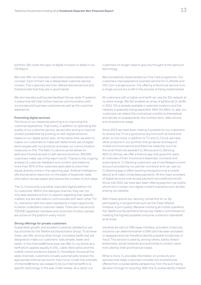portfolio. We cover the topic of digital inclusion in detail in our CR Report.

We now offer our business customers a personalised service concept. Each of them has a designated customer service contact. The customers are then offered tailored service and therefore feel that they are in good hands.

We are now also putting standardised Group-wide IT systems in place that will help further improve communication with our private and business customers as well as the customer experience.

#### Promoting digital services

The focus of our measures planning is on improving the customer experience. That is why, in addition to optimising the quality of our customer service, we are also aiming to improve contact possibilities by pushing on with digital solutions based on our digital action plan. At the same time, we want to inspire our customers to make self-determined use of digital technologies with our products and base our communication measures on this. The Mein O<sub>2</sub> service portal allows for swift and intuitive access to self-service solutions. 850,000 customers make use of this each month. Thanks to the ongoing analysis of customer feedback and content optimisations, more than 90% of the customers were able to solve their issues directly online in the reporting year. Artificial intelligence (AI) and dynamic execution on the basis of keywords make information access easier and reduce the number of click steps.

The O<sub>2</sub> Community is another important digital platform for O<sub>2</sub> customers. Within this dialogue channel, they can not only seek assistance from O₂ experts regarding their specific matters, but are also able to communicate with each other. For  $O<sub>2</sub>$ , interaction with the users represents a major opportunity to better understand customer needs. There are now around 700,000 registered members and more than 4 million people are active on the platform every month.

#### Strong offerings for private customers

Sustainable growth and excellent customer satisfaction are top priorities for the Telefónica Deutschland Group. To achieve these, we offer, among other things, innovative tariffs that are designed to make our customers' lives simpler, faster and better. In the Internet@Home area, we offer O<sub>2</sub> my Home as a tariff which applies equally to DSL, cable, fibre optics and the mobile-communications-based O<sub>2</sub> HomeSpot. Across all the sales channels, customers virtually automatically receive the appropriate Internet service for their home. Under the umbrella of Internet@Home, we ceased to tie our Internet tariffs to a specific technology in the year under review. As a result, our

customers no longer need to give any thought to the optimum technology.

We successfully implemented our One Care programme. Our customers now experience business service for O₂ Mobile and DSL from a single source. The offering of technical service from a single source too is still in the process of being implemented.

All customers with a higher-end tariff can use the 5G network at no extra charge. We 5G-enabled an array of additional O<sub>2</sub> tariffs in 2021. 5G is already available in selected locations and the network is gradually being expanded. With the Mein O<sub>2</sub> app, our customers can select the contractual conditions themselves and decide on prepayments, the contract term, data volume and smartphone usage.

Since 2019 we have been making it possible for our customers to receive live TV at a good price any time both at home and when on the move. In addition to TV and  $O<sub>2</sub>$  Cloud, we have other products in our portfolio that go above and beyond mobile communications and fixed line networks, such as the smart financial assistant  $O_2$  Money and  $O_2$  Banking. With O<sub>2</sub> Money, we offer a finance app that gives the users an overview of their income and expenses, contracts and subscriptions. O<sub>2</sub> Banking customers use a fully fledged current account provided by our partner comdirect and can use our O<sub>2</sub> Banking app to effect banking transactions via a mobile device and make contactless payments. All the major providers of digital services now accept payment via mobile phone bill. Since mid-2021 we have also been offering payment via mobile phone bill in certain non-digital content scenarios such as bike sharing via nextbike.

With these options too, security comes first for us. By participating in programmes such as the Clean Market Initiative, a joint quality offensive involving all mobile operators, the Telefónica Deutschland Group has made a commitment to meeting the highest possible consumer protection standards at all times.

Via what we call our SIM swap interface, providers of security solutions can determine when a SIM card has been activated or swapped and can therefore identify possible incidences of fraud. This service is used by, among others, banks, fintech enterprises, social networks and authorities to protect users from identity theft and financial losses.

What is more, O<sub>2</sub> provides information on products and services that helps customers consider the smartphones offered from a sustainability perspective, from the purchasing decision through to recycling. With the  $O<sub>2</sub>$  sustainability mission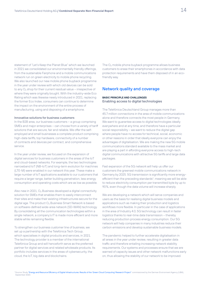<span id="page-13-0"></span>statement of "Let's Keep the Planet Blue" which we launched in 2021 we consolidated our environmentally friendly offerings, from the sustainable Fairphone and a mobile communications network run on green electricity to mobile phone recycling. We also launched our new mobile phone buyback programme in the year under review with which old devices can be sold to any O<sub>2</sub> shop for their current residual value – irrespective of where they were originally bought. With the industry-wide Eco Rating which was likewise newly introduced in 2021, replacing the former Eco Index, consumers can continue to determine the impact on the environment of the entire process of manufacturing, using and disposing of a smartphone.

#### Innovative solutions for business customers

In the B2B area, our business customers – a group comprising SMEs and major enterprises – can choose from a variety of tariff solutions that are secure, fair and reliable. We offer the selfemployed and small businesses a complete product comprising high-data tariffs, top hardware, connectivity of a number of contracts and devices per contract, and comprehensive service.

In the year under review, we focused on the expansion of digital services for business customers in the areas of the IoT and cloud-based networks. For example, the two technologies narrowband IoT (NB-IoT) and long-term evolution for machines (LTE-M) were enabled in our network this year. These make a large number of IoT applications available to our customers that require a larger range, better building penetration, less energy consumption and operating costs which are as low as possible.

Also new in 2021, O<sub>2</sub> Business developed a digital connectivity solution for SMEs that enables them to easily interconnect their sites and make their existing infrastructures secure for the digital age. The product O<sub>2</sub> Business Smart Network is based on software-defined wide-area network (SD-WAN) technology. By consolidating all the communication technologies within a single network, a company's IT is made more efficient and more stable while remaining flexible.

To strengthen our business customer line of business, we set up a partnership with the Telefónica Tech Group, which specialises in digital products and services, in 2021. The technology provider is a member of the international Telefónica Group and will henceforth serve as the preferred partner for digital services and related wholesale products. Its portfolio includes services in the areas of cybersecurity, the cloud, the IoT, big data and blockchains.

The O<sub>2</sub> mobile phone buyback programme allows business customers to erase their smartphones in accordance with data protection requirements and have them disposed of in an ecofriendly way.

### Network quality and coverage

#### **BASIC PRINCIPLE AND CHALLENGES**  Enabling access to digital technologies

The Telefónica Deutschland Group manages more than 45.7million connections in the area of mobile communications alone and therefore connects the most people in Germany. We want to guarantee access to digital technologies ideally everywhere and at any time, and therefore have a particular social responsibility – we want to reduce the digital gap where people have no access for technical, social, economic or other reasons in order that ideally everyone can enjoy the advantages of digitalisation. We are making the new 5G mobile communications standard available to the mass market and are playing a part in affording everyone access to high-tech digital communications with attractive 5G tariffs and large data packages.

Fast expansion of the 5G network will help us offer our customers the greenest mobile communications network in Germany by 2025. 5G transmission is significantly more energyefficient than the preceding standards<sup>1</sup>, meaning we will be able to reduce electricity consumption per transmitted byte by up to 90%, even though the data volume will increase sharply.

We are developing a network which will serve companies and users as the basis for realising digital business models and applications such as making their production and logistics workflows more flexible. In particular in the case of applications in the area of Industry 4.0, 5G technology can result in faster logistics thanks to real-time data transmission – thereby reducing production process energy consumption. Our 5G network will help companies in many industries reduce their carbon emissions and develop sustainable business models.

The pandemic helped to further accelerate digitalisation in all areas in the year under review, resulting in greater data traffic and therefore entailing increasing network stability requirements. Our systems and processes ensure that we are warned of capacity issues and other network malfunctions early on, thus allowing the stability of our network to be improved.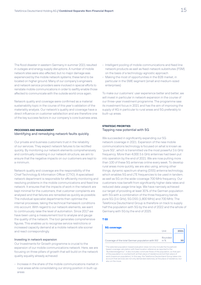The flood disaster in western Germany in summer 2021 resulted in outages and energy supply disruptions. A number of mobile network sites were also affected, but no major damage was experienced by the mobile network systems; these tend to be located on higher ground. Many of our company's engineers and network service providers were involved in special efforts to reinstate mobile communications in order to swiftly enable those affected to communicate with the outside world once again.

Network quality and coverage were confirmed as a material sustainability topic in the course of this year's validation of the materiality analysis. Our network's quality and coverage have a direct influence on customer satisfaction and are therefore one of the key success factors in our company's core business area.

#### **PROCESSES AND MANAGEMENT** Identifying and remedying network faults quickly

Our private and business customers trust in the reliability of our services. They expect network failures to be rectified quickly. By monitoring our network elements comprehensively and continually investing in our network structure, we aim to ensure that the negative impacts on our customers are kept to a minimum.

Network quality and coverage are the responsibility of the Chief Technology & Information Officer (CTIO). A specialised network department is responsible for efficiently monitoring and resolving problems in the mobile communications and fixed line network. It ensures that the impacts of work in the network are kept minimal for the customers, that customer complaints are analysed and that failures are remedied as quickly as possible. The individual specialist departments then optimise the internal processes, taking the technical framework conditions into account. With regard to our network elements, we want to continuously raise the level of automation. Since 2017 we have been using a measurement tool to analyse and gauge the quality of the network. The tool generates comprehensive figures. This enables us to recognise service restrictions or increased capacity demand at a mobile network site sooner and react correspondingly.

#### Investing in network expansion

Our Investments for Growth programme is crucial to the expansion of our mobile communications network. Here, we are focusing on three pillars of growth that will build on the network quality equality already achieved:

• Increase in the share of the mobile communications market in rural areas while consolidating our strong position in built-up areas

- Intelligent pooling of mobile communications and fixed line network products as well as fixed-network substitutes (FSM) on the basis of a technology-agnostic approach
- Making the most of opportunities in the B2B market, in particular in the SME segment (small and medium-sized enterprises)

To make our customers' user experience better and better, we will invest in particular in network expansion in the course of our three-year investment programme. The programme saw its investment focus in 2021 and has the aim of improving the supply of 4G in particular to rural areas and 5G preferably to built-up areas.

#### **STRATEGIC PRIORITIES** Tapping new potential with 5G

We succeeded in significantly expanding our 5G network coverage in 2021. Expansion of the new mobile communications technology is focused on what is known as "pure 5G", which is transmitted via the most powerful 3.6 GHz frequency. More than 4,000 3.6 GHz antennas had been put into operation by the end of 2021. We are now putting more than 100 of these 5G antennas online every week. To develop rural areas more quickly, we are also using, among other things, dynamic spectrum sharing (DSS) antenna technology, which enables 5G and LTE frequencies to be used in tandem. as well as 5G on the wide-coverage 700 MHz frequency. Our customers now benefit from significantly higher data rates and reduced data usage time lags. We have narrowly achieved our target of providing at least 30% of the German population with 5G with a combination of the three frequency bands pure 5G (3.6 GHz), 5G DSS (1,800 MHz) and 700 MHz. The Telefónica Deutschland Group is therefore on track to supply half the population with 5G by the end of 2022 and the whole of Germany with 5G by the end of 2025.

#### **T 03**

#### **5G coverage**

|                                                              | l Init  | 2021 |
|--------------------------------------------------------------|---------|------|
|                                                              | Rounded |      |
| Coverage of the total German population with 5G <sup>1</sup> | in %    |      |

The selected population-based evaluation does not only include the hous based coverage calculation with fixed location reference as reported to the "Bundesnetzagentur". It also includes commuter flows of the population, so that part of the population is counted both at their place of residence and at their place of work (maximum population). In this way, the Telefónica Deutschland Group takes into account that services are not only demanded stationary at the place of residence, but also on the move.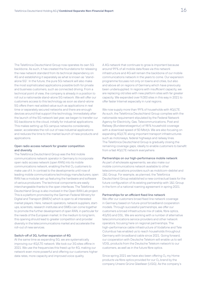The Telefónica Deutschland Group now operates its own 5G backbone. As such, it has created the foundations for releasing the new network standard from its technical dependency on 4G and establishing it separately as what is known as "standalone 5G". In the future, the pure 5G network will also make the most sophisticated applications possible both for private and business customers, such as connected driving. From a technical point of view, the company is already in a position to roll out a nationwide stand-alone 5G network. We will offer our customers access to this technology as soon as stand-alone 5G offers them real added value such as applications in real time or separately secured networks and there are enough devices around that support the technology. Immediately after the launch of the 5G network last year, we began to transfer our 5G backbone to the cloud, initially for industrial applications. This makes setting up 5G campus networks considerably easier, accelerates the roll-out of new industrial applications and reduces the time to the market launch of new products and applications.

#### Open radio access network for greater competition and diversity

The Telefónica Deutschland Group was the first mobile communications network operator in Germany to incorporate open radio access network (open RAN) into its mobile communications network, enabling the first O₂ customers to make use of it. In contrast to the developments until now of leading mobile communications technology manufacturers, open RAN has a modular set-up featuring the hardware and software of various producers. The technical components are easily interchangeable thanks to the open interfaces. The Telefónica Deutschland Group is also involved in the Open RAN Lab project. This is a platform promoted by the German Federal Ministry for Digital and Transport (BMDV) which is open to all interested market players. Here, network operators, network suppliers, startups, scientists, research institutes and SMEs can come together to promote the further development of open RAN, in particular for the needs of the European market. In the medium to long term, this opening should lead to greater competition and provider diversity in the telecommunications market and accelerate the roll-out of new services.

#### Switch-off of 3G, further expansion of 4G

At the same time as expanding 5G, we are systematically improving our 4G/LTE network. We took our 3G sites offline in 2021. We use the frequencies this freed up for 4G, making our network even more powerful and offering our customers higher data rates, more capacity and improved voice quality.

A 4G network that continues to grow is important because around 99% of all mobile data flows via this network infrastructure and 4G will remain the backbone of our mobile communications network in the years to come. Our expansion programme focuses not only on towns and cities, but also and above all on regions of Germany which have previously been undersupplied. In regions with insufficient capacity, we are replacing old sites with new platform sites with far greater capacity. We expanded over 9,000 sites in this way in 2021 to offer faster Internet especially in rural regions.

We now supply more than 99% of households with 4G/LTE. As such, the Telefónica Deutschland Group complies with the nationwide requirement stipulated by the Federal Network Agency for Electricity, Gas, Telecommunications, Post and Railway (Bundesnetzagentur) of 98% household coverage with a download speed of 50 Mbit/s. We are also focusing on expanding 4G/LTE along important transport infrastructures such as motorways, federal highways and railway lines. The Telefónica Deutschland Group is gradually closing the remaining coverage gaps, ideally to enable customers to benefit from a fast 4G/LTE network everywhere.

#### Partnerships on our high-performance mobile network

As part of wholesale agreements, we also make our mobile communications network available to other telecommunications providers such as mobilcom-debitel and 1&1 Group. For example, as planned, the Telefónica Deutschland Group established a new contractual basis for the future configuration of its existing partnership with 1&1 Group in the form of a national roaming agreement in spring 2021.

#### Partnerships for an efficient fixed line network

We offer our customers broad fixed line network coverage in Germany based on future-proof broadband cooperation models. Through successful partnerships, we offer our customers a broad infrastructure mix of cable, fibre optics, 4G/5G and DSL. We are working with a number of alternative telecommunications service providers and other network operators, focusing here on regional partnerships. The high-performance cable infrastructure of Vodafone and Tele Columbus has enabled us to reach households throughout Germany with broadband cable since 2021. Going forward, our cooperation with Deutsche Telekom will enable us to sell VDSL products from the Deutsche Telekom network to our customers, as well as in the future fibre optics.

Since spring 2021 we have also been offering  $O<sub>2</sub>$  my Home products via fibre optics provided for our  $O<sub>2</sub>$  brand by the company Unsere Grüne Glasfaser (UGG). As the company's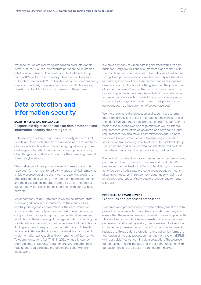<span id="page-16-0"></span>key account, we are marketing broadband products via this infrastructure. UGG is a joint venture between the Telefónica, S.A. Group and Allianz. The Telefónica Deutschland Group holds a 10% stake in the company. Over the next five years, UGG intends to provide 2.2 million households in predominantly rural and previously undersupplied regions with fibre optics, investing up to EUR 5 billion in expansion in the process.

### Data protection and information security

#### **BASIC PRINCIPLE AND CHALLENGES**

Responsible digitalisation calls for data protection and information security that are rigorous

Data security is of huge importance to society as the trust of people and their protection from risks serve as the foundations of successful digitalisation. The ongoing digitalisation process challenges us to rethink data protection and privacy, among other things against the background of the increasing general threat of cyberattacks.

The challenges of data protection and information security have been further heightened by the array of digital formats as a visible expression of the changes in the working world, the preferred option of working from home during the pandemic and the digitalisation impetus triggered by this – not only at our company, but also in our collaboration with our business partners.

Major company-wide IT projects in which the infrastructure is rearranged and data is transferred to the cloud call for careful planning and consideration of the data protection and information security requirements. At the same time, our company has to adapt to rapidly changing legal parameters. In addition to the tightening of the legal situation regarding the transfer of data to non-EU countries as a result of the Schrems II ruling, we have to respond to other national and EU-wide legislative initiatives that involve considerable advisory and implementation work, such as the amendment of Germany's Telecommunications Act (TKG) in 2021, what is known as the Catalogue of Security Requirements 2.0 and other new regulations regarding data protection and security in the digital world.

We are a company at which data is generated within its core business. Every day, millions of customers place their trust in the mobile network and services of the Telefónica Deutschland Group. Data protection and information security are therefore material topics when it comes to our company's responsible business conduct. It is about nothing less than the protection of our company and the trust that our customers place in us. Legal compliance in this area is essential for our reputation and for customer retention, both of which are crucial to business success. It also plays an important part in risk prevention as sanctions such as fines are then effectively avoided.

We therefore make the protection and security of customer data a top priority and ensure that people remain in control of their data. We guarantee data protection and IT security on the basis of the relevant laws and regulations as well as internal requirements, some of which go above and beyond the legal requirements. We also make a commitment in our Business Principles to data protection and to observing information security and transparency. The Telefónica Deutschland Group treats personal and sensitive data confidentially and protects this data from any unauthorised access by third parties.

We protect the data of our customers as well as our employees, partners and investors in our processes and products. We guarantee that the Telefónica Deutschland Group's business activities comply with data protection regulations by means of suitable measures. In this context, continuously raising our employees' awareness of new data protection requirements is crucial.

#### **PROCESSES AND MANAGEMENT** Clear rules and processes established

Clear rules and processes help to systematically meet the data protection requirements, guarantee information security and ensure that the relevant laws and regulations are complied with. This involves our regularly revising existing and adopting new guidelines if additional regulatory needs are identified and then implementing these in the company. The decisive frameworks include the Group's data protection standard, which forms the foundation of the data protection management system (DPMS) with our quidelines concerning data protection. These present our principles in handling data and in our communication with our customers and the public in a transparent manner.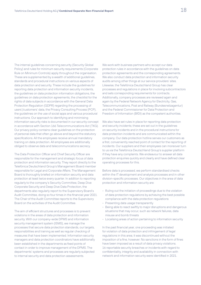The internal guidelines concerning security (Security Global Policy) and rules for minimum security requirements (Corporate Rule on Minimum Controls) apply throughout the organisation. These are supplemented by a wealth of additional guidelines, standards and procedural instructions on various aspects of data protection and security. These include the guidelines for reporting data protection and information security incidents, the guidelines on data protection information obligations, the guidelines on data protection agreements, the checklist for the rights of data subjects in accordance with the General Data Protection Regulation (GDPR) regarding the processing of users'/customers' data, the Privacy Consulting Process (PCP), the guidelines on the use of social apps and various procedural instructions. Our approach to identifying and minimising information security risks is documented in our security concept in accordance with Section 166 Telecommunications Act (TKG). Our privacy policy contains clear guidelines on the protection of personal data that often go above and beyond the statutory specifications. All the employees receive annual mandatory training on data protection. All employees are additionally obliged to observe data and telecommunications secrecy.

The Data Protection Officer and Chief Security Officer are responsible for the management and strategic focus of data protection and information security. They report directly to the Telefónica Deutschland Group's Management Board member responsible for Legal and Corporate Affairs. The Management Board is thoroughly briefed on information security and data protection at least twice every quarter. In addition to reporting regularly to the company's Security Committee, Deep Dive Corporate Security and Deep Dive Data Protection, the departments also regularly report to the Supervisory Board's Audit Committee, doing so four times in the financial year 2021. The Chair of the Audit Committee reports to the Supervisory Board on the activities of the Audit Committee.

The aim of efficient structures and processes is to prevent violations in the areas of data protection and information security. With our company-wide DPMS and information security management system (ISMS), we manage the processes that secure data protection standards, our targets, responsibilities and training as well as regular checking of measures that have been implemented. Information security managers and data protection coordinators have additionally been established in the departments as fixed points of contact in order to improve management of the DPMS. The departments' systems and processes are regularly subjected to internal security and data protection assessments.

We work with business partners who accept our data protection rules in accordance with the guidelines on data protection agreements and the corresponding agreements. We also conduct data protection and information security audits among other things at our service providers' sites. Likewise, the Telefónica Deutschland Group has clear processes and regulations in place for involving subcontractors and sets corresponding requirements for contracts. Additionally, company processes are reviewed again and again by the Federal Network Agency for Electricity, Gas, Telecommunications, Post and Railway (Bundesnetzagentur) and the Federal Commissioner for Data Protection and Freedom of Information (BfDI) as the competent authorities.

We also have set rules in place for reporting data protection and security incidents; these are set out in the guidelines on security incidents and in the procedural instructions for data protection incidents and are communicated within the company. Our data protection hotline serves our customers as a first, conveniently reached point of contact for the reporting of incidents. Our suppliers and their employees can moreover turn to us via the Telefónica Deutschland Group's supplier platform if they have any complaints. We endeavour to answer all data protection enquiries quickly and clearly and have defined clear operating processes for this.

Before data is processed, we perform standardised checks within the IT development and analysis processes and in other division-specific processes. Our objectives in the area of data protection and information security are:

- Ruling out the initiation of proceedings due to the violation of data protection regulations by achieving the best possible compliance with the data protection regulations
- Presenting data usage transparently
- Being able to react swiftly to major disruptions and dangerous situations that may occur, such as network failures, data misuse and bomb threats
- Localising areas of action pertaining to information security

In the past financial year, one proceeding was initiated for violation of data protection and infringement of legal regulations in this area; it was discontinued without the imposition of a fine, however. No sanctions in the form of fines have been imposed as a result of data privacy violations. 16 reportable security breaches or incidents with regard to confidentiality, integrity and availability in connection with network and information security were identified in 2021.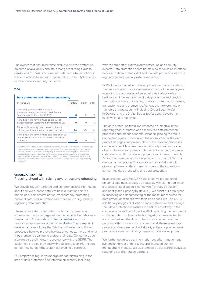The events that occurred relate exclusively to the protection objective of availability and are, among other things, due to disruptions at carriers or of network elements. No sanctions in the form of fines have been imposed due to security breaches or other network security incidents.

#### **T 04**

#### **Data protection and information security**

| In numbers                                                                                                                   | 2021 | 2020 |    |
|------------------------------------------------------------------------------------------------------------------------------|------|------|----|
| Proceedings initiated due to data<br>protection violations (Section 169 German<br>Telecommunications Act (TKG)) <sup>1</sup> | o    | 3    |    |
| Penalties in the form of fines as a result of<br>data protection violations in the reporting year                            | Ω    |      |    |
| Reportable security breaches or incidents<br>relating to information and network security                                    | 16   | 25   | 26 |
| Penalties in the form of fines paid in relation to<br>security breaches or other network security<br>incidents               |      |      |    |

1 Initiated proceedings during the reporting period are to be understood as proceedings that are ongoing and have not been concluded. The three proceedings reported for the 2020 financial year were still ongoing in the current reporting year. Concluded proceedings generally lead to a penalty, a fine or an abandonment of proceedings as a result of the authority's suspicion not being borne out. Fines are reported in the indicator "Penalties in the form of fines as a result of data protection violations during the year".

#### **STRATEGIC PRIORITIES** Pressing ahead with raising awareness and educating

We provide regular, targeted and comprehensible information about how we process data. We base our actions on the principles of self-determination, transparency, protecting personal data, and innovation as enshrined in our guidelines regarding data protection.

The most important information tools our customers can access in a direct and targeted manner include the Telefónica Deutschland Group's [data protection website](https://www.telefonica.de/unternehmen/datenschutz.html) and our brands' respective data protection websites. These explain in detail what types of data the Telefónica Deutschland Group processes, how we protect the data of our customers and what they themselves can do to protect their data. Consumers can also exercise their rights in accordance with the GDPR. The customers are also provided with data protection information concerning our contracts upon concluding a contract.

Our employees regularly undergo mandatory training in the area of data protection and information security, including

with the support of external data protection and security experts. Data protection coordinators who serve as an interface between a department's staff and the data protection team are regularly given especially extensive training.

In 2021 we continued with the employee campaign initiated in the previous year to raise awareness among all the employees regarding the processing of personal data in day-to-day business and the importance of data protection and provide them with concrete tips on how they can protect our company, our customers and themselves. Various events were held on the topic of cybersecurity, including Cyber Security Month in October and the Digital Basics professional development initiative for all employees.

The data protection team implemented an initiative in the reporting year to improve and simplify the data protection processes and means of communication, placing the focus on the employees. This involved the optimisation of the data protection pages and presentation of the relevant processes on the intranet. Measures were additionally identified, some of which have already been implemented, in order to optimise collaboration with the relevant projects and internal contacts. As another measure within the initiative, the chatbot Dascha was put into operation. This quickly and straightforwardly gives employees on the intranet answers to their questions concerning data processing and data protection.

In accordance with the GDPR, the effective protection of personal data must already be adequately implemented when a process or application is conceived ("privacy by design") and configured ("privacy by default"). We assist our employees in observing and documenting all the measures required for data protection with our own tools and checklists. The GDPR additionally obliges all division heads to structure and manage their data protection measures in a risk-oriented way. In the course of a project concluded in 2021 regarding the permanent implementation of data protection legislation, we overhauled and standardised the data protection advice process. The purpose of this process is to ensure that all the relevant data protection issues are resolved already at the stage when new products or new technical systems are under development.

We further optimised our information security management system in the year under review and improved our risk management process. We also ramped up our control activities regarding our distribution partners.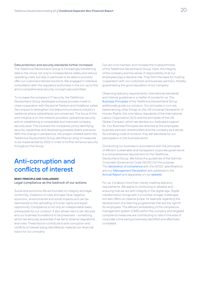<span id="page-19-0"></span>Data protection and security standards further increased

The Telefónica Deutschland Group is increasingly transferring data to the cloud, not only to increase failure safety and reduce operating costs, but also in particular to be able to promptly offer our customers tailored solutions. We engaged in intensive consultation with the regulatory authorities in the run-up to this and a comprehensive security concept was submitted.

To increase the company's IT security, the Telefónica Deutschland Group developed a shared process model in close cooperation with Deutsche Telekom and Vodafone called Zero Impact to strengthen the telecommunications industry's resilience where cyberattacks are concerned. The focus of this joint initiative is on the network providers' operational security and on establishing a comparable and improved company security level. This involved the companies jointly identifying security capabilities and developing possible attack scenarios. With this change in perspective, the project initiated within the Telefónica Deutschland Group identified an array of measures to be implemented by 2022 in order to further enhance security throughout the Group.

### Anti-corruption and conflicts of interest

#### **BASIC PRINCIPLE AND CHALLENGES**  Legal compliance as the bedrock of our actions

Social and economic life are founded on integrity and legal conformity. Violations of rules and laws have negative economic, environmental and social impacts and can be detrimental to the upholding of human rights and equal opportunity. Compliance is not only an indispensable basic prerequisite for our conduct. It also allows risks to be reduced and our business foundations to be preserved – something which we seriously jeopardise if we fail to observe regulations and rules. These factors contribute to anti-corruption and conflicts of interest being identified as material non-financial topics for our company.

Our aim is to maintain and increase the trustworthiness of the Telefónica Deutschland Group. Here, the integrity of the company and the sense of responsibility of all our employees play a decisive role. They form the basis for trusting cooperation with our customers and business partners, thereby guaranteeing the good reputation of our company.

Observing statutory requirements, international standards and internal guidelines is a matter of course for us. The [Business Principles](https://www.telefonica.de/file/public/776/Telefonica-Business-Principles-en--01-2018.pdf?attachment=1) of the Telefónica Deutschland Group additionally guide our conduct. Our principles in turn are based among other things on the UN Universal Declaration of Human Rights, the core labour standards of the International Labour Organization (ILO) and the principles of the UN Global Compact, which we declare our dedicated support for. Our Business Principles are directed at the employees, business partners, shareholders and the company as a whole. As a binding code of conduct, they set standards for our participation in the business world.

Conducting our business in accordance with the principles of efficient, sustainable and transparent corporate governance is a comprehensive requirement for the Telefónica Deutschland Group. We follow the guidelines of the German Corporate Governance Code (GCGC) for this purpose. The [declaration of compliance](https://www.telefonica.de/declaration-of-compliance) with the GCGC specifications and our [Management Declaration](https://www.telefonica.de/management-declaration) are published in the [Annual Report](https://www.telefonica.de/investor-relations-en/annual-report.html) and separately on our [website.](https://www.telefonica.de/investor-relations-en/corporate-governance.html)

For us, it is about more than merely meeting statutory requirements. We aspire to continuing to develop and ensuring that we act with integrity in the digital age. Digital transformation brings with it a number of legal challenges, but also offers us creative scope, for example regarding the development of e-learning programmes that are the right fit for employees. The efficient embedding of the compliance management system (CMS) within the company and targeted compliance measures are contributing to risks in the area of corporate crime being proactively identified and effectively combated.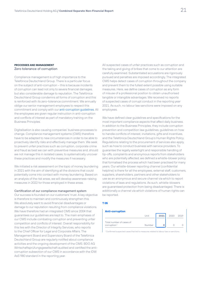#### **PROCESSES AND MANAGEMENT** Zero tolerance of corruption

Compliance management is of high importance to the Telefónica Deutschland Group. There is a particular focus on the subject of anti-corruption – this is because incidents of corruption can lead not only to severe financial damages, but also considerable damage to reputation. The Telefónica Deutschland Group condemns all forms of corruption and this is reinforced with its zero-tolerance commitment. We annually oblige our senior management employees to respect this commitment and comply with our [anti-corruption guidelines](https://www.telefonica.de/richtlinie-zur-korruptionspraevention-en). All the employees are given regular instruction in anti-corruption and conflicts of interest as part of mandatory training on the Business Principles.

Digitalisation is also causing companies' business processes to change. Compliance management systems (CMS) therefore have to be adapted to new circumstances in order to be able to proactively identify risks and effectively manage them. We seek to prevent unfair practices such as corruption, corporate crime and fraud as best we can with preventive measures and, should we not manage this in isolated cases, to systematically uncover these practices and modify the measures if necessary.

We initiated a risk assessment on the topic of money laundering in 2021 with the aim of identifying all the divisions that could potentially come into contact with money laundering. Based on an analysis of the risk areas, we will develop awareness-raising measures in 2022 for those employed in these areas.

#### Certification of our compliance management system

Our success is founded on our customers' trust. A key objective is therefore to maintain and continuously strengthen this. We absolutely want to avoid financial disadvantages or damage to our reputation resulting from compliance violations. We have therefore had an integrated CMS since 2004 that guarantees our guidelines are kept to. The main emphases of our CMS include combating corruption and preventing unfair competition and conflicts of interest. Overall responsibility for this lies with the Director of Integrity Services, who reports to the Chief Officer for Legal and Corporate Affairs. The Management Board and Supervisory Board of the Telefónica Deutschland Group are regularly notified about compliance activities and the ongoing development of the CMS. BDO AG Wirtschaftsprüfungsgesellschaft audited and certified the anticorruption subsection of our CMS in accordance with the IDW AsS 980 standard in the reporting year.

All suspected cases of unfair practices such as corruption and the taking and giving of bribes that come to our attention are carefully examined. Substantiated accusations are rigorously pursued and penalties are imposed accordingly. The integrated CMS helps detect cases of corruption throughout the company and prevent them to the fullest extent possible using suitable measures. Here, we define cases of corruption as any form of misuse of a professional position to obtain unauthorised tangible or intangible advantages. We received no reports of suspected cases of corrupt conduct in the reporting year 2021. As such, no labour law sanctions were imposed on any employees.

We have defined clear guidelines and specifications for the most important compliance aspects that affect daily business. In addition to the Business Principles, they include corruption prevention and competition law guidelines, guidelines on how to handle conflicts of interest, invitations, gifts and incentives, and the Telefónica Deutschland Group's Human Rights Policy. Regulations relating to the procurement of services also apply, such as how to conduct business with service providers. To guarantee the legally watertight and responsible handling of tip-offs, complaints and anonymous reports from stakeholders who are potentially affected, we defined a whistle-blower policy that formalised the process which had been practised for many years. Our whistle-blower reporting channel (confidential helpline) is there for all the employees, external staff, customers, suppliers, shareholders, partners and other stakeholders to use as an anonymous and secure channel via which to report violations of laws and regulations. As such, whistle-blowers are guaranteed protection from being disadvantaged. There is additionally a channel via which violations of human rights can be reported.

#### **T 05**

#### **Anti-corruption**

|                                                     | <b>Unit</b> | 2021 | 2020 | 2019 |
|-----------------------------------------------------|-------------|------|------|------|
| Total number of cases of<br>corruption <sup>1</sup> | Number      |      |      |      |

1 Confirmed suspected cases that led to measures related to labour law or sanctions.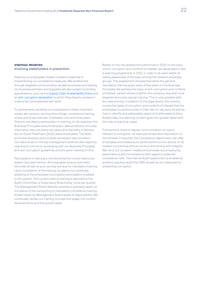#### **STRATEGIC PRIORITIES** Involving stakeholders in prevention

Keeping our employees closely involved is essential to implementing our compliance measures. We achieve this through targeted communication as well as surveys and training. Our business partners and suppliers are also subject to binding specifications, such as the [Supply Chain Sustainability Policy](http://www.telefonica.de/supply-chain-sustainability-policy-en) and an [anti-corruption declaration](https://www.telefonica.de/richtlinie-zur-korruptionspraevention-en) to which they have to consent in order to be commissioned with work.

To permanently sensitise our employees to these important issues, we conduct, among other things, compliance training online and at set intervals of between one and three years. There is mandatory participation in training on, for example, the Business Principles every three years, data protection annually, information security every two years and Germany's General Act on Equal Treatment (AGG) every three years. The AGG promotes diversity and combats workplace discrimination. Our executives on the top management level are also explicitly required to commit to complying with our Business Principles and anti-corruption guidelines and are given training on this.

Participation in training is monitored by the human resources system Success Factors. All employees receive automatic reminder emails as soon as they are due for mandatory training. Upon completion of the training, an electronic certificate attesting to the employee's successful participation is added to the system. The current level of training is reported to the Audit Committee, a Supervisory Board body, once per quarter. The Management Board likewise receives a quarterly report on the status of the conducting of mandatory compliance training, broken down by Management Board areas of responsibility. We continually review our training concept and adapt it to current developments and the actual needs.

Based on the risk assessment performed in 2020 on the topic of anti-corruption and conflicts of interest, we developed a new e-learning programme in 2021 in order to do even better at raising awareness of the topic among the relevant employee groups. The assessment showed that while the general mandatory training given every three years on the Business Principles did address the topic of anti-corruption and conflicts of interest, certain divisions within the company required more targeted and more regular training. This is now possible with the new training. In addition to the legal basics, the training covers the types of corruption and conflicts of interest that the employees could encounter in their day-to-day work as well as how to identify and adequately respond to attempted bribery. Additionally, the learning content goes into greater detail with the help of practical cases.

Furthermore, there is regular communication on topics relevant to corruption, for example emails and information on the intranet. If required, the Compliance department can offer employees and bodies such as the works council advice on all matters concerning ethical conduct and acting with integrity. We carry out occasion-related and process-accompanying examinations and consultations with regard to potential compliance risks. The Internal Audit department and external auditors regularly audit the CMS as well as our measures for preventing corruption.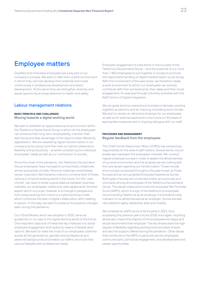### <span id="page-22-0"></span>Employee matters

Qualified and motivated employees are a key part of our company's success. We want to offer them a work environment in which they can fully develop their potential and invest continuously in professional development and talent development. At the same time, we strengthen diversity and equal opportunity and pay attention to health and safety.

#### Labour management relations

#### **BASIC PRINCIPLE AND CHALLENGES** Moving towards a digital working world

We wish to establish an appreciative work environment within the Telefónica Deutschland Group in which all the employees can enhance their long-term employability, maintain their well-being and take advantage of the opportunities offered by digitalisation. We are expediting digital transformation in our company by focusing more than ever on hybrid collaboration, flexibility and productivity – all while considering the individual employees' needs as well as our contribution to society.

Since the onset of the pandemic, the Telefónica Deutschland Group employees have managed to productively collaborate almost exclusively virtually. Personal meetings nevertheless remain important. We therefore intend to combine both of these options in a hybrid working world in the future. For this "new normal", we need to strike a good balance between business interests, our employees' needs and clear agreements. Another aspect which is crucial, however, is a change in perspective from solely working from home to a hybrid working model which combines the best of digital collaboration with meeting in person. In this way, we want to preserve the positive changes seen during the pandemic.

Our 5 Bold Moves, which we adopted in 2020, serve as guidelines on our way to the digital working world of the future. One important objective of these five key initiatives is to boost employee engagement and loyalty by means of flexible work options. We want to make the most of our employees' potential across all the generations, genders and professional and personal backgrounds and enable our staff to reconcile their various lifestyles with professional needs.

Employee engagement is a key factor in the success of the Telefónica Deutschland Group – and the potential of our more than 7,400 employees to pull together in society to promote the responsible handling of digital transformation is just as big. With the involvement of the executives, we therefore create a work environment to which our employees can actively contribute with their achievements, their ideas and their social engagement, for example through voluntary activities with the ReDI School of Digital Integration.

We set great store by interactions founded on fairness, working together as partners and an inspiring motivating work climate. We wish to remain an attractive employer for our employees as well as for external applicants in the future on the basis of appropriate measures and in ongoing dialogue with our staff.

#### **PROCESSES AND MANAGEMENT** Regular feedback from the employees

The Chief Human Resources Officer (CHRO) has overarching responsibility for the area of staff matters. Several works council bodies also represent the employees' interests. We conduct regular employee surveys in order to assess the attractiveness of our work environment and the progress we are making with the core issues regarding our transformation. These include short surveys conducted throughout the year known as Pulse Surveys and an annual global Employee Experience Survey. Both types of survey are conducted online, anonymously and voluntarily among all employees of the Telefónica Deutschland Group. The values measured include the employee Net Promoter Score (eNPS), which is a sign of the likelihood of employees recommending Telefónica as an employer. It is therefore a key indicator of our attractiveness as an employer. Scores are also calculated for agility, leadership skills and mobility.

We achieved an eNPS score of 60.4 points in 2021, thus surpassing the previous year's score (53.8) once again. Anything above zero means the majority of the employees are happy and would recommend their employer. The key drivers were the high degree of flexibility regarding working time and place of work and also the support offered during the pandemic. Other issues that contribute to the eNPS in particular are the employees' communal spirit, joint social engagement, and development and career opportunities.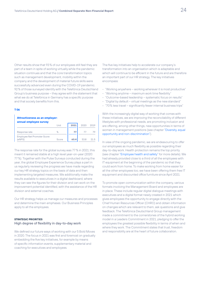Other results show that 93% of our employees still feel they are part of a team in spite of working virtually while the pandemic situation continues and that the core transformation topics such as management development, mobility within the company and the development of material future skills were successfully advanced even during the COVID-19 pandemic. 92% of those surveyed identify with the Telefónica Deutschland Group's business purpose – they agree with the statement that what we do at Telefónica in Germany has a specific purpose and that society benefits from this.

#### **T 06**

#### **Attractiveness as an employer: annual employee survey**

| --------------                               | Unit  | 2021 | 2020 | 2019 |
|----------------------------------------------|-------|------|------|------|
| Response rate                                | $\%$  |      |      |      |
| <b>Employee Net Promoter Score</b><br>(eNPS) | Score | 60.4 | 53.8 | 215  |

The response rate for the global survey was 77% in 2021; this meant it remained stable at a high level year-on-year (2020: 77%). Together with the Pulse Surveys conducted during the year, the global Employee Experience Survey plays a part in us regularly reviewing the progress we have made regarding our key HR strategy topics on the basis of data and then implementing targeted measures. We additionally make the results available to executives in a digital dashboard, where they can see the figures for their division and can work on the improvement potential identified, with the assistance of the HR division and external coaches.

Our HR strategy helps us manage our measures and processes and determine the main emphases. Our Business Principles apply to all the employees.

#### **STRATEGIC PRIORITIES** High degree of flexibility in day-to-day work

We defined our future ways of working with our 5 Bold Moves in 2020. The focus in 2021 was first and foremost on gradually embedding the five key initiatives, for example by means of specific information events, supplementary material and coaching for executives and employees.

The five key initiatives help to accelerate our company's transformation into an organisation which is adaptable and which will continue to be efficient in the future and are therefore an important part of our HR strategy. The key initiatives encompass:

- "Working anywhere working wherever it is most productive"
- "Working anytime maximum work time flexibility"
- "Outcome-based leadership systematic focus on results"
- "Digital by default virtual meetings as the new standard"
- "70% less travel significantly fewer internal business trips"

With the increasingly digital way of working that comes with these initiatives, we are improving the reconcilability of different lifestyles with professional needs, are promoting inclusion and are offering, among other things, new opportunities in terms of women in management positions (see chapter ["Diversity, equal](#page-24-0)  [opportunity and non-discrimination"](#page-24-0)).

In view of the ongoing pandemic, we are endeavouring to offer our employees as much flexibility as possible regarding their day-to-day work. Health protection remains the top priority (see chapter ["Employee health and safety"](#page-27-0) for more details). We had already provided close to a third of all the employees with IT equipment at the beginning of the pandemic so that they could work from home. To make working from home easier for all the other employees too, we have been offering them free IT equipment and discounted office furniture since April 2021.

To promote open communication within the company, various formats involving the Management Board and employees are in place. These include regular digital dialogue meetings with executives and a digital format newly created in 2021 which gives employees the opportunity to engage directly with the Chief Human Resources Officer (CHRO) and obtain information on changes which are relevant to them, ask questions and give feedback. The Telefónica Deutschland Group management made a commitment to the cornerstones of the hybrid working model in a Leaders Commitment in 2021, pledging to offer the employees the greatest possible flexibility in terms of when and where they work. The Commitment states that trust, freedom and responsibility are at the heart of future collaboration.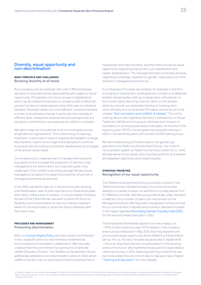### <span id="page-24-0"></span>Diversity, equal opportunity and non-discrimination

#### **BASIC PRINCIPLE AND CHALLENGES**  Boosting diversity at all levels

As a company and an employer with over 7,400 employees, we have an important social responsibility with regard to equal opportunity. This applies not only to access to digitalisation, which we as a telecommunications company wish to afford all people, but also to career opportunities that cater to individual lifestyles. Diversity makes us a more efficient company because in times of accelerated change in particular, the interplay of different skills, viewpoints, experiences and backgrounds is a key factor contributing to success and our ability to compete.

We want to tap the full potential of all our employees across all genders and generations. This is becoming increasingly important, in particular in view of ongoing demographic change. We therefore need to encourage the employees to continue to pursue internal mobility and further development at all stages of life and all career levels.

Our endeavours to make women in management positions successful and to increase the proportion of women in top management are enshrined in our corporate goals. One challenge in this context is recruiting enough female future managers to be able to increase the proportion of women in managerial positions as planned.

In the 2021 pandemic year as in the previous year, working time flexibilisation was of vital importance to those employees who had to offset a lack of nursery- or school-based childcare. As part of the 5 Bold Moves, we want to place the focus on flexibility once the pandemic is over too, thereby making it easier for the employees to reconcile various lifestyles with their work roles.

#### **PROCESSES AND MANAGEMENT** Preventing discrimination

With our [Human Rights Policy](https://www.telefonica.de/file/public/1016/26092019-Human-Rights-Policy-Telefonica-Deutschland-Group-english.pdf), we have made a commitment to fair, respectful and non-discriminatory treatment as the foundations of successful collaboration. We have also underpinned this commitment by signing the Charta der Vielfalt (Diversity Charter). The Telefónica Deutschland Group additionally adopted a non-discrimination policy in 2021 which reaffirms the fact that our work environment should be free of

harassment and discrimination and that there should be equal opportunity regarding employment, job classification and career development. The management team promotes diversity regarding knowledge, experience, gender, nationality and other aspects in managerial positions too.

If our Business Principles are violated, for example in the form of bullying or harassment, employees can contact a confidential whistle-blower system with an independent ombudsman or the human rights reporting channel. More on the whistleblowing channel, our employee training on treating each other ethically and our Business Principles can be found in the chapter ["Anti-corruption and conflicts of interest".](#page-19-0) The online training we provide regarding Germany's General Act on Equal Treatment (AGG) and focusing on diversity and inclusion is mandatory for all employees every three years. At the end of the reporting year, 94.9% of employees had received training on AGG in the last three years, with a total of 5,003 training hours.<sup>1</sup>

We are endeavouring to further reduce the gender pay gap within the Telefónica Deutschland Group. Our uniform remuneration system at Telefónica Germany GmbH & Co. OHG will also serve this purpose, ensuring that positions and salaries are assessed objectively and treated equally.

#### **STRATEGIC PRIORITIES** Recognition of our equal opportunity

The Telefónica Deutschland Group is actively involved in the Telefónica Group's Global Diversity Council and promotes diversity in a variety of ways: our workforce includes people from 67 different countries, talented young individuals, older members of staff and, for a number of years now, two women on the Management Board. We have been recognised numerous times for our commitment to equality and inclusion. We were included in the highly regarded [Bloomberg Gender-Equality Index \(GEI\)](https://www.telefonica.de/news/press-releases-telefonica-germany/2021/01/gender-equality-as-a-success-factor-telefonica-deutschland-o2-listed-in-bloomberg-gender-equality-index-for-the-second-year-in-a-row.html) for the second consecutive year in 2021.

The employees themselves appear to be very happy, too – 94% of them (previous year: 93%) stated in the companywide survey conducted in May 2021 that they experienced pronounced equal opportunity at the Telefónica Deutschland Group. For us, this also includes equal access to digital skills – this is an important element of participation in the working world of the future. We therefore introduced the Digital Basics Learning Journey in 2021 featuring learning content that can be incorporated into any kind of day-to-day work (see chapter ["Training and education"](#page-25-0) for more details).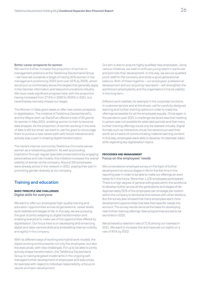#### <span id="page-25-0"></span>Better career prospects for women

We want to further increase the proportion of women in management positions at the Telefónica Deutschland Group – we have set ourselves a target of having 30% women in top management positions by 2022 (and over 33% by 2024), which would put us comfortably above the targets that generally apply in the German information and telecommunications industry. We have made significant progress here, with the proportion having increased from 27.8% in 2020 to 28.8% in 2021, but nevertheless narrowly missed our target.

The Women in Data grant seeks to offer new career prospects in digitalisation. The initiative of Telefónica Deutschland/O<sub>2</sub> and the Wayra start-up StackFuel offered a total of 50 grants for women in May 2021, enabling women to train to become data analysts. As the proportion of women working in the area of data is still too small, we want to use the grant to encourage them to pursue a new career path with future relevance and actively play a part in shaping digital transformation.

The vibrant internal community Telefónica Connects serves women as a networking platform. As well as providing inspiration through regular specialist presentations by engaging personalities and role models, this initiative increases the overall visibility of women at the company. Around 330 employees were already active in the network in 2021, playing their part in promoting gender diversity at our company.

#### Training and education

#### **BASIC PRINCIPLE AND CHALLENGES**  Digital skills for everyone

We want to offer our employees high-quality training and education opportunities across all generations, career levels, work realities and stages of life. In this way, we are pursuing the goal of jointly adapting to digital transformation and enabling everyone to make use of the opportunities offered by digitalisation. Our focus here is on developing and enhancing digital and data-centred skills and embedding internal mobility and agility in the company.

With its different ways of working and hybrid work models, the digital working world presents not only the employees, but also the executives, with new challenges. For us to be able to jointly actively shape transformation, the Telefónica Deutschland Group is making targeted investments in the ongoing selfmanaged further development of employees and executives, for example with regard to individual responsibility, a focus on results and team development.

Our aim is also to acquire highly qualified new employees. Using various initiatives, we seek to enthuse young talent in particular and promote their development. In this way, we secure qualified junior staff for the company and strike a good generational balance. Both of these together – our employees' professional development and our acquiring new talent – will strengthen the workforce's employability and the organisation's future viability in the long term.

Different work realities, for example in the corporate functions, in customer service and at the shops, call for carefully designed learning and further-training options in order to make the offerings accessible for all the employees equally. Once again in the pandemic year 2021 a challenge we faced was that meeting in person was not possible for extended periods and that many further-training offerings could only be realised virtually. Digital formats such as interactive virtual live sessions proved their worth as a means of communicating material learning content. In this way, employees were able to develop, for example, basic skills regarding key digitalisation topics.

#### **PROCESSES AND MANAGEMENT** Focus on the employees' needs

We conducted an employee survey on the topic of further development at various stages in life for the first time in the reporting year in order to be able to make our offerings an even better fit in the future. More than 1,100 employees participated. There is a high degree of general willingness within the workforce to develop further across all the generations and stages of life. Approximately 50% of the employees can envisage job rotation within the company to familiarise themselves with other divisions. But the survey also showed that many employees want more development opportunities that take their specific needs into account. The survey results serve as the basis for developing new further-training offerings. New programmes are set to be launched in 2022.

We achieved a retention rate of 71% among our trainees in 2021. We want to increase this and have set our sights on a rate of 90% by 2022.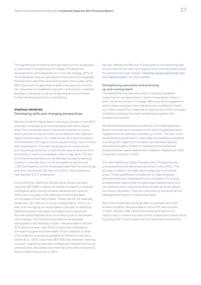The significance of training and education for the employees is enshrined in the Business Principles ("Professional development") and expanded on in the HR strategy. 89% of the employees have an appraisal of their skill and knowledge development with their executive at least once a year, while 68% have such an appraisal at least once every six months. Our objective is to establish a growth- and solution-oriented feedback culture as a culture of learning which promotes further development and is motivational.

#### **STRATEGIC PRIORITIES** Developing skills and changing perspectives

We launched the Digital Basics Learning Journey in mid-2021 as a way of equipping all the employees with basic digital skills. This comprises seven interactive modules on topics which are becoming more and more relevant with regard to digital transformation, from data-driven work and the basics of the Internet of Things to ethical issues that go hand in hand with digitalisation. The learning programme's summaries and recordings allow the content to be used at any time and according to how it suits people's day-to-day work. The aim is for the entire workforce to be afforded access to learning content in this way. Each of the live sessions had around 1,000 participants, further employees watched the recordings and short summaries. By the end of 2021, the programme had reached 3,072 employees.

Since 2020 the Telefónica Deutschland Group has been using the BEYOND initiative as a platform based on artificial intelligence which brings suitable development options within the company to the attention of the employees on the basis of their skill profiles. These may be, for example, vacancies, job rotations or project assignments. This is our way of encouraging our employees to be open to adopting different perspectives again and again and to grow with the new responsibilities that come about due to permanent role changes. The initiative promotes the employees' willingness to be internally mobile – we were able to fill over 50% (previous year: over 43%) of vacancies internally in the reporting year and there were 79 job rotations, in spite of the platform only being available at Telefónica Germany GmbH & Co. OHG up to now. BEYOND also features "learning journeys" regarding selected, strategically relevant and futureoriented skills. We added new training to the Data Analytics & Science learning journey in 2021.

We also offered the Women in Data grant in the reporting year to promote further training in digital future-oriented skills across the divisions too (see chapter ["Diversity, equal opportunity and](#page-24-0) [non-discrimination"](#page-24-0) for more details).

#### Strengthening executives and promoting up-and-coming talent

The leadership journeys are a way of making a targeted investment in our executives in order to strengthen them in their role as the drivers of change, efficiency and engagement and to make ongoing further development available to them too. Other supportive measures for executives in 2021 included individual coaching and team workshops together with professional trainers.

We performed development audits for all the Management Board members and members of the senior leadership team together with an external consultancy in 2021. The aim of the development audits was to make objective feedback available, including with regard to the market, and develop tailored development plans. Audits for members of the extended leadership team were additionally initiated in September 2021. These will continue in 2022.

Our new Telefónica Digital Transformation Programme for young experienced talent was launched in early 2021. This focuses on skills in the data, technology and commercial areas. These qualification profiles are of major strategic and interdivisional importance to our company. The young professionals' stations will include project assignments and job rotations within various divisions as well as at our Wayra innovation laboratory. They are mentored by someone at the Management Board or directorship level.

We further expanded what we offer our trainees and dualstudies students. We were able to record 49 new recruits in 2021. We also offer interns and working students the opportunity to make a success of their subsequent career starts by giving them initial insights into the business environment.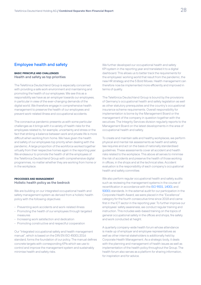### <span id="page-27-0"></span>Employee health and safety

#### **BASIC PRINCIPLE AND CHALLENGES**  Health and safety as top priorities

The Telefónica Deutschland Group is especially concerned with providing a safe work environment and maintaining and promoting the health of our employees. We see this as a responsibility we have as an employer towards our employees, in particular in view of the ever-changing demands of the digital world. We therefore engage in comprehensive health management to preserve the health of our employees and prevent work-related illness and occupational accidents.

The coronavirus pandemic presents us with some particular challenges as it brings with it a variety of health risks for the employees related to, for example, uncertainty and stress or the fact that striking a balance between work and private life is more difficult when working from home. We have given the health and safety of our employees top priority when dealing with the pandemic. A large proportion of the workforce worked together virtually from their respective homes again in the reporting year. We endeavour to promote the health of all the employees of the Telefónica Deutschland Group with comprehensive digital programmes, no matter whether they are working from home or in the workplace.

#### **PROCESSES AND MANAGEMENT** Holistic health policy as the bedrock

We are building on our integrated occupational health and safety management system as derived from a holistic health policy with the following objectives:

- Preventing work accidents and work-related illness
- Promoting the health of our employees through targeted measures
- Increasing work satisfaction and dedication
- Promoting constructive and respectful cooperation

Our "Integrated occupational safety and health management manual", which is based on the DIN EN ISO 45001:2016 standard, forms the foundation of our policy. The manual defines concrete targets with corresponding KPIs which we use to control and improve the management system and sustainably minimise health and safety risks.

We further developed our occupational health and safety KPI system in the reporting year and translated it to a digital dashboard. This allows us to better track the requirements for the employees' working world that result from the pandemic, the new HR strategy and the 5 Bold Moves. Health management can therefore now be implemented more efficiently and improved in terms of quality.

The Telefónica Deutschland Group is bound by the provisions of Germany's occupational health and safety legislation as well as other statutory prerequisites and the country's occupational insurance scheme requirements. Overall responsibility for implementation is borne by the Management Board or the management of the company in question together with the xecutives. The Integrity Services division regularly reports to the Management Board on the latest developments in the area of occupational health and safety.

To create and maintain safe and healthy workplaces, we perform physical and mental risk assessments as health and safety law requires and act on the basis of nationally standardised guidelines. These assessments cover all accident and health risks related to the workplace. This above all serves to minimise the risk of accidents and preserve the health of those working in offices, in the shops and at the technical sites. Accident evaluation is the responsibility of each company's occupational health and safety committee.

We also perform regular occupational health and safety audits such as reviewing the management systems in the course of recertification in accordance with the [ISO 9001,](https://www.telefonica.de/unternehmen/strategie-und-fakten/zertifizierungen-awards/iso-zertifikat-90012015-2018-2021.html) [14001](https://www.telefonica.de/unternehmen/strategie-und-fakten/zertifizierungen-awards/iso-zertifikat-140012015-2018-2021.html) and [50001](https://www.telefonica.de/unternehmen/strategie-und-fakten/zertifizierungen-awards/iso-zertifikat-50001-2019-2021.html) standards. In the external audit for our participation in the Corporate Health Award, we were placed in the "Excellence" category for the fourth consecutive time since 2018 and came first in the ICT sector in the reporting year. To further improve our employees' safety awareness, we conduct regular training and instruction. This includes web-based training on the topics of general occupational safety in the offices and shops, fire safety and work conducted at height.

A quarterly company-wide health forum whose attendance is made up of employer and employee representatives as well as other internal stakeholders is additionally held by Corporate Health Management. As a strategic body, it deals with the planning and management of health issues as well as implementation of the health policy throughout the Group. The health forum also serves as a platform for sharing information, for inspiration and for advice.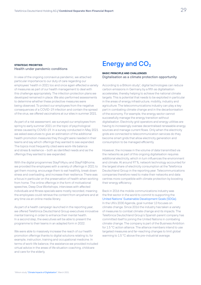#### <span id="page-28-0"></span>**STRATEGIC PRIORITIES** Health under pandemic conditions

In view of the ongoing coronavirus pandemic, we attached particular importance to our duty of care regarding our employees' health in 2021 too and once again effected a variety of measures as part of our health management to deal with this challenge appropriately. The infection protection plans we developed remained in place. We also performed assessments to determine whether these protective measures were being observed. To protect our employees from the negative consequences of a COVID-19 infection and contain the spread of the virus, we offered vaccinations at our sites in summer 2021.

As part of a risk assessment, we surveyed our employees from spring to early summer 2021 on the topic of psychological stress caused by COVID-19. In a survey conducted in May 2021 we asked executives to give an estimation of the additional health promotion measures they thought were needed in their teams and say which offerings they wanted to see expanded. The topics most frequently cited were work-life balance and stress & resilience – both as identified needs and as the offerings they wanted to see expanded.

With the digital programmes StayFit4you and StayFit@home, we provided the employees with a variety of offerings in 2021 to get them moving, encourage them to eat healthily, break down stress and overloading, and increase their resilience. There was a focus in particular on the preservation of health when working from home. The online offerings in the form of motivational speeches, Deep Dive Workshops, interviews with affected individuals and fitness specials were mostly recorded, meaning the employees could retrieve the content from anywhere and at any time via an online media library.

As part of a health campaign launched in the reporting year. we offered Telefónica Deutschland Group executives innovative mental training in order to enhance their mental health. In a second step, the executives will be able to present the programme to their teams in an adapted form in 2022.

We were able to massively increase the reach of our health promotion offerings thanks to digital solutions relating to, for example, instruction, training and occupational medicine. In terms of work-life balance, the assistance we provided included virtual advice in the areas of life situation coaching, childcare and care for the elderly.

### Energy and CO₂

#### **BASIC PRINCIPLE AND CHALLENGES** Digitalisation as a climate protection opportunity

According to a Bitkom study<sup>1</sup>, digital technologies can reduce carbon emissions in Germany by a fifth as digitalisation accelerates, thereby helping to achieve the national climate targets. This is potential that needs to be exploited in particular in the areas of energy infrastructure, mobility, industry and agriculture. The telecommunications industry can play a key part in combating climate change and in the decarbonisation of the economy. For example, the energy sector cannot successfully manage the energy transition without digitalisation. Electricity grid operators and energy utilities are having to increasingly oversee decentralised renewable energy sources and manage current flows. Only when the electricity grids are connected to telecommunication services do they become smart grids that allow electricity generation and consumption to be managed efficiently.

However, the increase in the volume of data transmitted via the networks as part of this ongoing digitalisation requires additional electricity, which in turn influences the environment and climate. At around 97%, network technology accounted for the largest share of electricity consumption at the Telefónica Deutschland Group in the reporting year. Telecommunications companies therefore need to make their networks and data centres more compatible with climate protection by boosting their energy efficiency.

Back in 2016 the mobile communications industry was the first sector in the world to commit to supporting the [United Nations' Sustainable Development Goals \(SDGs\).](https://www.un.org/sustainabledevelopment/sustainable-development-goals/) In the UN's 2030 Agenda, goal number 13 focuses on climate change. Since 2016 the industry has taken a variety of measures to combat climate change and its impacts. The Telefónica Deutschland Group's Spanish parent company has committed itself to joining the United Nations in combating climate change. The company is part of the Business Ambition for 1.5 °C action alliance. The alliance members intend to use targeted measures and far-reaching changes to limit global warming to 1.5 °C above the pre-industrial average.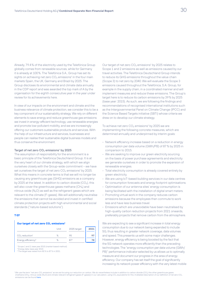Already, 79.4% of the electricity used by the Telefónica Group globally comes from renewable sources, while for Germany it is already at 100%. The Telefónica S.A., Group has set its sights on achieving net zero  $CO<sub>2</sub>$  emissions<sup>1</sup> in the four main markets Spain, the UK, Germany and Brazil by 2025. The Group discloses its environmental and climate data annually in the CDP report and was awarded the top mark of A by the organisation for the eighth consecutive year in the year under review for its achievements here.

In view of our impacts on the environment and climate and the business relevance of climate protection, we consider this to be a key component of our sustainability strategy. We rely on different elements to save energy and reduce greenhouse gas emissions: we invest in energy-efficient technology, use renewable energies and promote low-pollutant mobility, and we are increasingly offering our customers sustainable products and services. With the help of our infrastructure and services, businesses and people can realise their sustainable digital business models and thus conserve the environment.

#### Target of net zero CO<sub>2</sub> emissions<sup>1</sup> by 2025

The assumption of responsibility for the environment is a basic principle of the Telefónica Deutschland Group. It is at the very heart of our climate strategy, with which we align ourselves closely with the Group-wide commitment – we have set ourselves the target of net zero CO<sub>2</sub> emissions<sup>1</sup> by 2025. What this means in concrete terms is that we will no longer be causing any greenhouse gas (GHG) emissions as a company by 2025 at the latest. In addition to carbon dioxide (CO2), this will also cover the greenhouse gases methane (CH4) and nitrous oxide (N<sub>2</sub>O) as well as the refrigerant gases which are relevant to the climate (F-gases). We will additionally neutralise the emissions that cannot be avoided and invest in certified climate protection projects with high environmental and social standards ("nature-based solutions").

#### **T 07**

#### **Our target of net zero CO<sub>2</sub> emissions<sup>1</sup>**

|                                | Unit | 2025 target | 2021 |
|--------------------------------|------|-------------|------|
| $CO2$ reduction <sup>1</sup>   |      |             |      |
| Energy efficiency <sup>2</sup> |      |             |      |

<sup>1</sup> Scope 1 and 2, base year 2015 (market-based method)

2 Energy data, base year 2015 3 The target was raised from 82% to 87% in 2021.

Our target of net zero  $CO<sub>2</sub>$  emissions<sup>1</sup> by 2025 relates to Scope 1 and 2 emissions as well as emissions caused by our travel activities. The Telefónica Deutschland Group intends to reduce its GHG emissions throughout the value chain (Scope 3) to net zero by 2040. We will evaluate the Scope 3 emissions caused throughout the Telefónica, S.A. Group, for example in the supply chain, in a coordinated manner and will implement measures and reduce these emissions. The Group's target here is to reduce its carbon emissions by 39% by 2025 (base year: 2015). As such, we are following the findings and recommendations of recognised international institutions such as the Intergovernmental Panel on Climate Change (IPCC) and the Science Based Targets initiative (SBTi) whose criteria we drew on to develop our climate strategy.

To achieve net zero  $CO<sub>2</sub>$  emissions<sup>1</sup> by 2025 we are implementing the following concrete measures, which are determined annually and underpinned by interim goals:

- Network efficiency increase based on a reduction in energy consumption per data volume (GWh/PB) of 87% by 2025 in comparison to 2015.
- We are seeking to improve our green electricity sourcing on the basis of power purchase agreements and electricity we generate ourselves in order to promote the expansion of renewable energies.
- Total electricity consumption is already covered entirely by green electricity.
- We are using IoT-based building services in our data centres for consumption forecasts and energy footprint optimisations.
- Optimisation of our antenna sites' energy consumption is being facilitated with the installation of digital smart meters.
- Promoting virtual work in the company reduces carbon emissions because the employees then commute to work less and have less business travel.
- Emissions which are unavoidable have been neutralised by high-quality carbon reduction projects from 2021 onwards. preferably projects that remove carbon from the atmosphere.

We are expecting to see a significant increase in total energy consumption due to our network being expanded to include 5G, thus resulting in greater network coverage, data volumes and speed. This presents us with some major challenges. However, energy efficiency is being boosted by the fact that the 5G network operates more efficiently than the preceding technologies. The "energy consumption per data volume (GWh/ PB)" performance indicator selected by us allows us to optimally measure and document our progress in the area of energy efficiency. Our company has set itself the goal of significantly increasing its network power efficiency with the very latest mobile

1 We use the term "net zero CO<sub>2</sub> emissions" as we are focusing our reduction on carbon. We do nevertheless include in addition to carbon dioxide (CO<sub>2</sub>) the other greenhouse gase (methane (CH₄), nitrous oxide (N₂O) and climate-relevant refrigerant gases (F-gases)) in our calculation, using CO₂ equivalents for this. A detailed description of our definition of net zero CO₂ .<br>emissions can be found **here**.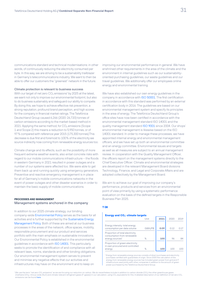communications standard and technical modernisations: in other words, of continuously reducing the electricity consumed per byte. In this way, we are striving to be a sustainability trailblazer in Germany's telecommunications industry. We want to then be able to offer our customers the "greenest" network in the future.

#### Climate protection is relevant to business success

With our target of net zero CO<sub>2</sub> emissions<sup>1</sup> by 2025 at the latest, we want not only to improve our environmental footprint, but also to do business sustainably and safeguard our ability to compete. By doing this, we hope to achieve effective risk prevention, a strong reputation, profound brand perception, and high scores for the company in financial market ratings. The Telefónica Deutschland Group caused 6,266 (2020: 26,720) tonnes of carbon emissions according to the market-based method in 2021. Applying the same method, for CO<sub>2</sub> emissions (Scope 1 and Scope 2) this means a reduction to 5,950 tonnes, or of 97% compared with reference year 2015 (175,300 tonnes).This decrease is due first and foremost to 100% of the electricity we source indirectly now coming from renewable energy sources too.

Climate change and its effects, such as the possibility of more frequent extreme weather events, also entail concrete risks with regard to our mobile communications infrastructure – the floods in western Germany in 2021 resulted in power outages and a number of our systems were affected too. We were able to get them back up and running quickly using emergency generators. Preventive and reactive emergency management is in place for all of Germany's mobile communications networks in the event of power outages and other disaster scenarios in order to maintain the basic supply of mobile communications.

#### **PROCESSES AND MANAGEMENT** Management systems anchored in the company

In addition to our 2025 climate strategy, our binding company-wide [Environmental Policy](https://www.telefonica.de/file/public/1016/Umweltpolitik_-_Telefonica_Deutschland_2019.pdf?attachment=1) serves as the basis for all activities and is further supported by the [Sustainable Energy](https://www.telefonica.de/energierichtlinie-en)  [Management Policy.](https://www.telefonica.de/energierichtlinie-en) Both of these are aimed at our business processes in the areas of the network, office spaces, mobility, responsible procurement and our product and services portfolio with the main emphasis on sustainable innovations. Our Environmental Policy is established in the environmental guidelines in accordance with [ISO 14001](https://www.telefonica.de/unternehmen/strategie-und-fakten/zertifizierungen-awards/iso-zertifikat-140012015-2018-2021.html). This particularly seeks to promote the identification of and compliance with all relevant laws, norms, standards and other binding obligations. Our environmental management system serves to prevent and minimise any negative effects that our activities and infrastructures may have on the environment and to keep on

.<br>emissions can be found **here**.

improving our environmental performance in general. We have enshrined other requirements in the area of the climate and the environment in internal guidelines such as our sustainabilityoriented purchasing guidelines, our waste guidelines and our travel guidelines. We additionally offer our employees online energy and environmental training.

We have also established our own energy guidelines in the company in accordance with [ISO 50001](https://www.telefonica.de/unternehmen/strategie-und-fakten/zertifizierungen-awards/iso-zertifikat-50001-2019-2021.html). The first certification in accordance with this standard was performed by an external certification body in 2016. The guidelines are based on our environmental management system and specify its principles in the area of energy. The Telefónica Deutschland Group's office sites have now been certified in accordance with the environmental management standard ISO 14001 and the quality management standard [ISO 9001](https://www.telefonica.de/unternehmen/strategie-und-fakten/zertifizierungen-awards/iso-zertifikat-90012015-2018-2021.html) since 2004. Our shops' environmental management is likewise based on the ISO 14001 standard. In order to manage these processes, we have appointed internal energy and environmental management officers, and we have set up both an environmental committee and an energy committee. Environmental issues and targets as well as all measures are subject to an annual management review. In cooperation with the Quality Management Officer, the officers report on the management systems directly to the Chief Executive Officer. Climate and environmental strategies are developed in the relevant Management Board divisions Technology, Finance, and Legal and Corporate Affairs and are adopted collectively by the Management Board.

We aim to achieve our goal of improving our company's performance, products and services from an environmental point of view primarily by using a systematic performance evaluation on the basis of the defined targets in the Responsible Business Plan 2025.

#### **T 08**

#### **Energy and CO₂: climate targets**

|                                                                                              | Unit   | 2021 |       |      |
|----------------------------------------------------------------------------------------------|--------|------|-------|------|
| Energy intensity: total energy<br>consumption per data volume                                | GWh/PB | 0.09 | 012   | O 17 |
| Proportion of total electricity<br>consumption from renewable<br>energy sources <sup>1</sup> | $\%$   | 100  | 96    | RΔ   |
| Proportion of green electricity<br>in own procured and controlled<br>energy                  | $\%$   | 100  | 1 N C |      |

1 Energy from renewable energy sources consists of direct purchases and electricity purchases certified with guarantees of origin. Since 2020 the calculation of the energy from renewable energy sources has included green power from grid and IT infrastructure used jointly with other companies in addition to the amount of green power purchased by the Telefónica Deutschland Group.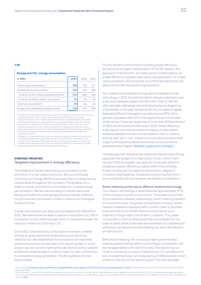#### **T 09**

#### **Energy and CO₂: energy consumption**

| In GWh                                                | 2021 | 2020 | 2019 |
|-------------------------------------------------------|------|------|------|
| Total energy consumption                              | 755  | 736  | 727  |
| Total electricity consumption <sup>1</sup>            | 732  | 710  | 696  |
| of which by the network and data centres <sup>2</sup> | 711  | 686  | 668  |
| of which by offices, shops, call centres              | 21   | 24   | 28   |
| Total fuel consumption <sup>3</sup>                   | 23   | 26   | 31   |
| Energy from renewable energy sources <sup>4</sup>     | 732  | 679  | 584  |

1 The figure for electricity consumption equals the volumes actually billed per electricity consumption point and, in some cases, forecasts of the volumes consumed <sup>2</sup> Network electricity consumption equals the number of mobile telephony and fixed line sites multiplied by an average electricity consumption figure per site. This was determined on the basis of historical consumption data. In the future, the values

actually measured by smart meters will replace the statistically collected values. 3 Fuel consumption (in the form of diesel, natural gas and district heating) comprises the units provided via a direct contract between a supplier and the Telefónica Deutschland Group.

4 Energy from renewable energy sources consists of direct purchases and electricity purchases certified with guarantees of origin. Since 2020 the calculation of the energy from renewable energy sources has included green power from grid and IT<br>infrastructure used jointly with other companies in addition to the amount of green<br>power purchased by the Telefónica Deutschland Group.

#### **STRATEGIC PRIORITIES** Targeted improvement in energy efficiency

The Telefónica Deutschland Group is committed to the promotion of a low-carbon economy. We are continually improving our energy efficiency by switching to energy-saving components throughout the company. This enables us to make an active contribution to the reduction of greenhouse gas emissions. We are also focusing on natural resources being used efficiently and we apply environmental criteria to our procurement processes in order to reduce our ecological footprint further.

Energy consumption per data volume totalled 0.09 GWh/PB in 2021. We were therefore able to reduce consumption by 78% in comparison to the reference year 2015. In the previous year, the reduction relative to 2015 was 71%.

Since 2021 total electricity consumption has been covered entirely by green electricity where we source electricity indirectly too. We established the foundations for improved power procurement as planned in the reporting year. In a pilot project, we are currently testing the use of photovoltaic systems at selected antenna sites in order to make our own contribution to renewable energy generation. The first systems are now being trialled.

The key factors contributing to boosting power efficiency are above all this year's deactivation of the 3G network, the expansion of 5G and 4G, and data centre modernisations, as power efficiency increases with every new generation of mobile communications. 5G consumes up to 90% less electricity<sup>1</sup> per data volume than the previous generations.

The Telefónica Deutschland Group decommissioned its 3G technology in 2021 and will henceforth ensure customers have a secure broadband supply with 4G or 5G. Over 17,000 3G sites had been definitively decommissioned by the beginning of December of this year. As well as 4G, the company is rapidly expanding 5G and managed to provide around 30% of the german population with 5G in this way by the end of the year under review. There are targets set of more than 50% by the end of 2022 and the whole of Germany in 2025. Power efficiency is also being improved by means of ongoing modernisation, software updates, the use of smart meters in the  $O<sub>2</sub>$  network and the new "all-in-one" mobile communications antenna that supports all frequency bands and mobile communications standards (see chapter ["Network quality and coverage"\)](#page-13-0).

The Management Board of the Telefónica Deutschland Group approved the budget for a new carbon fund in 2021. From January 2022 employees can apply for funds with which to implement power efficiency projects within the company. Project funding will be based on the projects' degree of innovation and feasibility. Questions concerning their shortterm profitability will only be given secondary consideration.

#### Smart metering as the key to efficient network technology

The network technology is responsible for approximately 97% of the company's power consumption. The power consumed by the network is already measured by smart metering systems at many of the sites. The power consumption of every mobile network installation equipped with a smart meter is recorded every second and is transmitted to a cloud server by an Internet of Things radio unit via the O<sub>2</sub> network. The power consumption of all the sites would then be analysed on the basis of alerts when thresholds are exceeded, thus allowing for predictive maintenance and facilitating the early identification of malfunctions.

With smart metering, the company is taking another step towards greater energy efficiency as energy consumption can be managed better with real-time data. This also brings us closer to achieving our goal of reducing net CO<sub>2</sub> emissions<sup>2</sup> to zero. A target had been set of equipping 27,000 sites with smart meters by the end of the reporting year. The chip shortage

1 Source: Study ["Energy and Resource Efficiency of Digital Infrastructures. Results of the 'Green Cloud Computing' Research Project"](https://www.umweltbundesamt.de/sites/default/files/medien/376/publikationen/politische-handlungsempfehlungen-green-cloud-computing_2020_09_07.pdf) commissioned by the German Environment Agency (UBA), September 2020.

2 We use the term "net zero CO<sub>2</sub> emissions" as we are focusing our reduction on carbon. We do nevertheless include in addition to carbon dioxide (CO<sub>2</sub>) the other greenhouse gases (methane (CH4), nitrous oxide (N2O) and climate-relevant refrigerant gases (F-gases)) in our calculation, using CO2 equivalents for this. A detailed description of our definition of net zero CO<sub>2</sub> emissions can be found here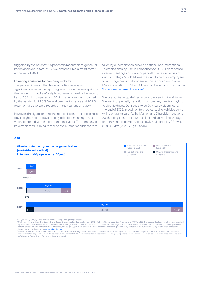triggered by the coronavirus pandemic meant this target could not be achieved. A total of 17,596 sites featured a smart meter at the end of 2021.

#### Lowering emissions for company mobility

The pandemic meant that travel activities were again significantly lower in the reporting year than in the years prior to the pandemic, in spite of a slight increase in travel in the second half of 2021. In comparison to 2019, the last year not impacted by the pandemic, 92.8% fewer kilometres for flights and 90.9% fewer for rail travel were recorded in the year under review.

However, the figure for other indirect emissions due to business travel (flights and rail travel) is only of limited meaningfulness when compared with the pre-pandemic years. The company is nevertheless still aiming to reduce the number of business trips

taken by our employees between national and international Telefónica sites by 70% in comparison to 2019. This relates to internal meetings and workshops. With the key initiatives of our HR strategy, 5 Bold Moves, we want to help our employees to work together virtually wherever this is possible and wise. More information on 5 Bold Moves can be found in the chapter ["Labour management relations".](#page-22-0)

We use our travel guidelines to promote a switch to rail travel. We want to gradually transition our company cars from hybrid to electric drives. Our fleet is to be 50% partly electrified by the end of 2022. In addition to a fuel card, all e-vehicles come with a charging card. At the Munich and Düsseldorf locations, 20 charging points are now installed and active. The average carbon value<sup>1</sup> of company cars newly registered in 2021 was 51g CO₂/km (2020: 71 g CO₂/km).

#### **G 02**



 $1$  CO<sub>2</sub>eq = CO<sub>2</sub>, CH4,N<sub>2</sub>O and climate-relevant refrigerant gases (F-gases).

<sup>2</sup> Carbon emissions (including Scope 1 and Scope 2) are calculated on the basis of ISO 14064, the Greenhouse Gas Protocol and ITU-T L.1420. The data and calculations have been verified<br>by the spanish Standardisation and C carbon emissions. For the market-based method, 588.83 g CO2 per kWh is used. (Source: Association of Issuing Bodies (AIB), European Residual Mixes 2020). Information on locationbased method is shown in the [table of key figures.](#page-36-0)

<sup>3</sup> Scope 3 Emission: Other indirect emissions due to business travel (flights and rail travel). The emissions per km for flights and rail travel for the years 2018 to 2020 were calculated with .<br>Ission factors applied Group-wide (source: UK government GHG conversion factors for company reporting, 2021). There are also other Scope 3 emissions not included here. The focus at Telefónica Deutschland Group is on business travel.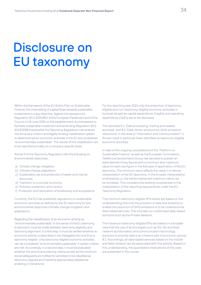## <span id="page-33-0"></span>Disclosure on EU taxonomy

Within the framework of the EU Action Plan on Sustainable Finance, the channelling of capital flows towards sustainable investments is a key objective. Against this background, Regulation (EU) 2020/852 of the European Parliament and of the Council of 18 June 2020 on the establishment of a framework to facilitate sustainable investment and amending Regulation (EU) 2019/2088 (hereinafter the Taxonomy Regulation) has entered into force as a uniform and legally binding classification system to determine which economic activities in the EU are considered "environmentally sustainable". The results of this classification are to be reported annually on a company-specific basis.

Article 9 of the Taxonomy Regulation lists the following six environmental objectives:

- *a) Climate change mitigation;*
- *b) Climate change adaptation;*
- *c) Sustainable use and protection of water and marine resources;*
- *d) Transition to a circular economy;*
- *e) Pollution prevention and control;*
- *f) Protection and restoration of biodiversity and ecosystems.*

Currently, the EU has published regulations on sustainable economic activities as defined by the EU taxonomy for two environmental objectives (climate change mitigation and adaptation).

Regarding the classification of an economic activity as "environmentally sustainable" in the sense of the EU taxonomy, a distinction must be made between taxonomy eligibility and taxonomy alignment. In a first step, it must be verified whether an economic activity is described in the Delegated Act and thus is taxonomy-eligible. Only taxonomy-eligible economic activities can be considered "environmentally sustainable" if certain criteria are met. Accordingly, in a second step, it must be evaluated whether the technical screening criteria as well as the minimum social safeguards are fulfilled for activities to be classified as taxonomy-aligned and therefore appropriately labelled as enabling or transitional.

For the reporting year 2021 only the proportion of taxonomyeligible and non-taxonomy-eligible economic activities in turnover as well as capital expenditure (CapEx) and operating expenditure (OpEx) are to be disclosed.

The activities 8.1 "Data processing, hosting and related activities" and 8.2 "Data-driven solutions for GHG emissions reductions" in the area of "Information and Communication" in Annex I have in particular been identified as taxonomy-eligible economic activities.

In view of the ongoing consultations of the "Platform on Sustainable Finance" as well as the European Commission, Telefóncia Deutschland Group has decided to publish an extended set of key figures with a minimum and maximum value for each key figure in the first year of application of the EU taxonomy. The minimum value reflects the value in a narrow interpretation of the EU taxonomy. In the broader interpretation endorsed by us, the below mentioned maximum value can be achieved. This considers the existing uncertainties in the interpretation of the reporting requirements under the EU Taxonomy Regulation.

The minimum taxonomy-eligible KPIs below are based on the understanding that only the provision of data and analytics to enable the reduction of GHG emissions is to be understood as data-based services. This includes our customised data-based solutions such as the Private Network.

The maximum taxonomy-eligible KPIs are based on a broader view that the use of technologies such as 5G, 4G and fixed network as information and communication technology solutions to provide data is an inherent part of economic activity 8.2. Accordingly, all data-based services based on the mobile and fixed network can be associated with this activity. Based on this understanding, the quantitative implications of this view are presented in the course.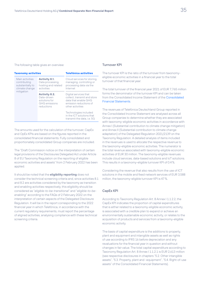The following table gives an overview: Turnover KPI

| <b>Taxonomy activities</b>                                                          |                                                                                            | <b>Telefónica activities</b>                                                                                               |  |  |
|-------------------------------------------------------------------------------------|--------------------------------------------------------------------------------------------|----------------------------------------------------------------------------------------------------------------------------|--|--|
| Main activities<br>contributing<br>substantially to<br>climate change<br>mitigation | <b>Activity 8.1.</b><br>Data processing,<br>hosting and related<br>activities              | Cloud services for storing,<br>managing, controlling or<br>processing data via the<br>Internet                             |  |  |
|                                                                                     | <b>Activity 8.2.</b><br>Data-driven<br>solutions for<br><b>GHG</b> emissions<br>reductions | Digital services that<br>collect, transmit and store<br>data that enable GHG<br>emission reductions of<br>other activities |  |  |
|                                                                                     |                                                                                            | Technologies included<br>in the ICT solutions that<br>transmit the data, i.e. 5G                                           |  |  |

The amounts used for the calculation of the turnover, CapEx and OpEx KPIs are based on the figures reported in the consolidated financial statements. Fully consolidated and proportionately consolidated Group companies are included.

The "Draft Commission notice on the interpretation of certain legal provisions of the Disclosures Delegated Act under Article 8 of EU Taxonomy Regulation on the reporting of eligible economic activities and assets" from 2 February 2022 has been applied.

It should be noted that the **eligibility reporting** does not consider the technical screening criteria and, since activities 8.1 and 8.2 are activities considered by the taxonomy as transition and enabling activities respectively, this eligibility should be considered as "*eligible-to-be-transitional*" and "*eligible-to-beenabling*" according to the FAQs of 2 February 2022 on the interpretation of certain aspects of the Delegated Disclosure Regulation. It will be in the report corresponding to the 2022 financial year in which Telefónica, in accordance with the current regulatory requirements, must report the percentage of aligned activities, analysing compliance with these technical screening criteria.

The turnover KPI is the ratio of the turnover from taxonomyeligible economic activities in a financial year to the total turnover of that financial year.

The total turnover of the financial year 2021 of EUR 7,765 million forms the denominator of the turnover KPI and can be taken from the Consolidated Income Statement of the [Consolidated](https://www.telefonica.de/investor-relations-en/annual-report.html)  [Financial Statements.](https://www.telefonica.de/investor-relations-en/annual-report.html)

The revenues of Telefónica Deutschland Group reported in the Consolidated Income Statement are analysed across all Group companies to determine whether they are associated with taxonomy-eligible economic activities in accordance with Annex I (Substantial contribution to climate change mitigation) and Annex II (Substantial contribution to climate change adaptation) of the Delegated Regulation 2021/2139 on the Taxonomy Regulation. A detailed analysis of items included in the revenues is used to allocate the respective revenue to the taxonomy-eligible economic activities. The numerator is the total revenue associated with taxonomy-eligible economic activities of EUR 30 million. The taxonomy-eligible revenues include cloud services, data-based solutions and IoT solutions. This results in a taxonomy-eligible turnover KPI of 0.4%.

Considering the revenue that also results from the use of ICT solutions in the mobile and fixed network services of EUR 3,588 million, the taxonomy-eligible turnover KPI is 47%.

### CapEx KPI

According to Taxonomy Regulation Art. 8 Annex | 1.1.2.2, the CapEx KPI indicates the proportion of capital expenditures that is either related to a taxonomy-eligible economic activity, is associated with a credible plan to expand or achieve an environmentally sustainable economic activity, or relates to the acquisition of products and services from a taxonomy-eligible economic activity.

The basis of capital expenditure is the additions to property, plant and equipment and intangible assets as well as rights of use according to IFRS 16 before depreciation and any revaluations for the financial year in question and without changes in fair value. The total capital expenditure according to Taxonomy Regulation Art. 8 Annex I 1.1.2.1 is EUR 2,613 million (see respective disclosures in chapters "5.2. Other intangible assets", "5.3. Property, plant and -equipment", "5.4. Right-of-use assets" of the Consolidated Financial Statements).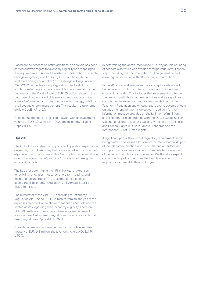Based on the description of the additions, an analysis has been carried out with regard to taxonomy eligibility and mapping to the requirements of Annex I (Substantial contribution to climate change mitigation) and Annex II (Substantial contribution to climate change adaptation) of the Delegated Regulation 2021/2139 on the Taxonomy Regulation. The total of the additions reflecting a taxonomy-eligible investment forms the numerator of the CapEx figure of EUR 55 million related to the purchase of taxonomy-eligible services and products in the areas of information and communication technology, buildings and fleet and energy management. This results in a taxonomyeligible CapEx KPI of 2%.

Considering the mobile and fixed network with an investment volume of EUR 2,023 million in 2021 the taxonomy-eligible Capex KPI is 79%.

#### OpEx KPI

The OpEx KPI indicates the proportion of operating expenses as defined by the EU taxonomy that is associated with taxonomyeligible economic activities, with a CapEx plan described above or with the acquisition of products from a taxonomy-eligible economic activity.

The basis for determining the KPI is the total of expenses for building renovation measures, short-term leasing, and maintenance and repair. The total operating expenses according to Taxonomy Regulation Art. 8 Annex I 1.1.3.1 are EUR 285 million.

The numerator of the OpEx KPI according to Taxonomy Regulation Art. 8 Annex I 1.1.3.2. results from an analysis of the expenses recorded in the above-mentioned accounts and the related assets regarding their taxonomy eligibility. Therefore, EUR 0.05 million for measures in the energy management area are classified as taxonomy-eligible. This corresponds to a taxonomy-eligible OpEx KPI of 0.02%.

Considering maintenance expenses for the mobile and fixed network of EUR 148 million, the taxonomy-eligible OpEx KPI is 52%.

In determining the above-mentioned KPIs, any double counting of economic activities was avoided through various verification steps, including the documentation of data generation and ensuring reconciliation with other financial information.

In the 2022 financial year, even more in-depth analyses will be necessary to fulfil the criteria in relation to the identified economic activities. This includes the assessment of whether the taxonomy-eligible economic activities make a significant contribution to an environmental objective defined by the Taxonomy Regulation and whether there are no adverse effects on any other environmental objective. In addition, further information must be provided on the fulfilment of minimum social standards in accordance with the OECD Guidelines for Multinational Enterprises, UN Guiding Principles on Business and Human Rights, ILO Core Labour Standards and the International Bill of Human Rights.

A significant part of the current regulatory requirements is still being drafted and leaves a lot of room for interpretation. As part of the telecommunications industry, Telefóncia Deutschland Group supports a clarification and more detailed reference of the current regulations for the sector. We therefore expect corresponding adjustments and further developments of the regulatory framework in the coming year.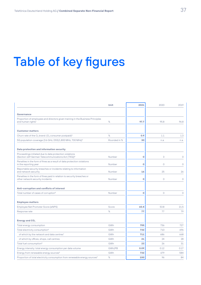# <span id="page-36-0"></span>Table of key figures

|                                                                                                                           | Unit         | 2021    | 2020    | 2019    |
|---------------------------------------------------------------------------------------------------------------------------|--------------|---------|---------|---------|
|                                                                                                                           |              |         |         |         |
| <b>Governance</b>                                                                                                         |              |         |         |         |
| Proportion of employees and directors given training in the Business Principles<br>and human rights <sup>1</sup>          | $\%$         | 97.7    | 95.8    | 96.8    |
| <b>Customer matters</b>                                                                                                   |              |         |         |         |
| Churn rate of the $O_2$ brand: ( $O_2$ consumer postpaid) <sup>2</sup>                                                    | $\%$         | 0.9     | 1.1     | 1.3     |
| 5G population coverage (3.6 GHz, DSS/1,800 MHz, 700 MHz) <sup>3</sup>                                                     | Rounded in % | 30      | n.a.    | n.a.    |
| Data protection and information security                                                                                  |              |         |         |         |
| Proceedings initiated due to data protection violations<br>(Section 169 German Telecommunications Act (TKG)) <sup>4</sup> | Number       | $\circ$ | 3       | $\circ$ |
| Penalties in the form of fines as a result of data protection violations<br>in the reporting year                         | Number       | $\circ$ | $\circ$ | $\circ$ |
| Reportable security breaches or incidents relating to information<br>and network security                                 | Number       | 16      | 25      | 26      |
| Penalties in the form of fines paid in relation to security breaches or<br>other network security incidents               | Number       | $\circ$ | $\circ$ | $\circ$ |
| Anti-corruption and conflicts of interest                                                                                 |              |         |         |         |
| Total number of cases of corruption <sup>5</sup>                                                                          | Number       | $\circ$ | $\circ$ | $\circ$ |
| <b>Employee matters</b>                                                                                                   |              |         |         |         |
| Employee Net Promoter Score (eNPS)                                                                                        | Score        | 60.4    | 53.8    | 21.5    |
| Response rate                                                                                                             | $\%$         | 77      | 77      | 79      |
| <b>Energy and CO<sub>2</sub></b>                                                                                          |              |         |         |         |
| Total energy consumption                                                                                                  | GWh          | 755     | 736     | 727     |
| Total electricity consumption <sup>6</sup>                                                                                | GWh          | 732     | 710     | 696     |
| of which by the network and data centres <sup>7</sup>                                                                     | GWh          | 711     | 686     | 668     |
| of which by offices, shops, call centres                                                                                  | GWh          | 21      | 24      | 28      |
| Total fuel consumption <sup>8</sup>                                                                                       | GWh          | 23      | 26      | 31      |
| Energy intensity: total energy consumption per data volume                                                                | GWh/PB       | 0.09    | 0.12    | 0.17    |
| Energy from renewable energy sources <sup>9</sup>                                                                         | GWh          | 732     | 679     | 584     |
| Proportion of total electricity consumption from renewable energy sources <sup>9</sup>                                    | $\%$         | 100     | 96      | 84      |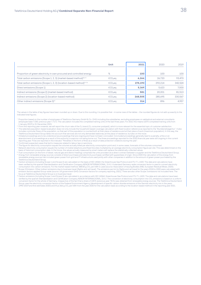|                                                                                  | Unit      | 2021    | 2020    | 2019    |
|----------------------------------------------------------------------------------|-----------|---------|---------|---------|
|                                                                                  |           |         |         |         |
| Proportion of green electricity in own procured and controlled energy            | %         | 100     | 100     | 100     |
| Total carbon emissions (Scope 1, 2, 3) (market-based method) <sup>10, 11</sup>   | $tCO2$ ea | 6.266   | 26.720  | 93,470  |
| Total carbon emissions (Scope 1, 2, 3) (location-based method) <sup>11, 12</sup> | $tCO2$ eq | 274.190 | 292.214 | 342.524 |
| Direct emissions (Scope 1)                                                       | $tCO2$ eq | 5.369   | 5.623   | 7.000   |
| Indirect emissions (Scope 2) (market-based method)                               | $tCO2$ eq | 581     | 20.201  | 81.513  |
| Indirect emissions (Scope 2) (location-based method)                             | $tCO2$ ea | 268,505 | 285.695 | 330.567 |
| Other indirect emissions (Scope 3) <sup>11</sup>                                 | $tCO2$ ea | 316     | 896     | 4.957   |

The values in the table of key figures have been rounded up or down. Due to this rounding, it is possible that - in some rows of the tables - the rounded figures do not add up exactly to the indicated total figures

- Proportion based on the number of employees of Telefónica Germany GmbH & Co. OHG including the subsidiaries, excluding employees on sabbatical and external consultants (Proportion and external consultants) (Proportion Subs 1 January 2019 to 31 December 2021.
- $\epsilon$  From this reporting year onwards, we will report the churn rate of the O $_2$  brand (O $_2$  consumer postpaid), which is more relevant for the essential topic of customer satisfaction.
- The selected population-based evaluation does not only include the household-based coverage calculation with fixed location reference as reported to the "Bundesnetzagentur". It also includes commuter flows of the populatio Telefónica Deutschland Group takes into account that services are not only demanded stationary at the place of residence, but also on the move.
- f Initiated proceedings are to be understood as proceedings that are ongoing and have not been concluded. Concluded proceedings generally lead to a penalty, a fine or an<br>abandonment of proceedings as a result of the author
- 
- 『 Confirmed suspected cases that led to measures related to labour law or sanctions.<br>『 The figure for electricity consumption equals the volumes actually billed per electricity consumption point and, in some cases, forecas
- 7 Network electricity consumption equals the number of mobile telephony and fixed line sites multiplied by an average electricity consumption figure per site. This was determined on the<br>basis of historical consumption data
- ® Fuel consumption (in the form of diesel, natural gas and district heating) comprises the units provided via a direct contract between a supplier and the Telefónica Deutschland Group.<br>® Energy from renewable energy source renewable energy sources has included green power from grid and IT infrastructure used jointly with other companies in addition to the amount of green power purchased by the Telefónica Deutschland Group.
- or Carbon emissions (including Scope 1 and Scope 2) are calculated on the basis of ISO 14064, the Greenhouse Gas Protocol and ITU-T L.1420. The data and calculations have been verified by the spanish Standardisation and Ce
- emission factors applied Group-wide (source: UK government GHG conversion factors for company reporting, 2021). There are also other Scope 3 emissions not included here. The<br>focus at Telefónica Deutschland Group is on busi
- <sup>12</sup> Carbon emissions (including Scope 1 and Scope 2) are calculated in accordance with ISO 14064, Greenhouse Gas Protocol and ITU-T L.1420. The data and calculations have been<br>verified by the spanish Standardisation and C conversion factor for the whole of Germany, irrespective of the fact that a share of 100% (previous year: 96%) was obtained from renewable energy sources. The Telefónica Deutschland<br>Group uses the electricity conversion fa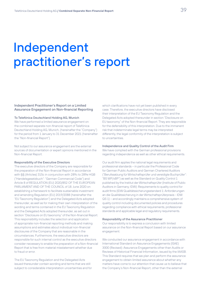## <span id="page-38-0"></span>Independent practitioner's report

#### Independent Practitioner's Report on a Limited Assurance Engagement on Non-financial Reporting

#### To Telefónica Deutschland Holding AG, Munich

We have performed a limited assurance engagement on the combined separate non-financial report of Telefónica Deutschland Holding AG, Munich, (hereinafter the "Company") for the period from 1 January to 31 December 2021 (hereinafter the "Non-financial Report").

Not subject to our assurance engagement are the external sources of documentation or expert opinions mentioned in the Non-financial Report.

#### Responsibility of the Executive Directors

The executive directors of the Company are responsible for the preparation of the Non-financial Report in accordance with §§ (Articles) 315c in conjunction with 289c to 289e HGB ("Handelsgesetzbuch": "German Commercial Code") and Article 8 of REGULATION (EU) 2020/852 OF THE EUROPEAN PARLIAMENT AND OF THE COUNCIL of 18. June 2020 on establishing a framework to facilitate sustainable investment and amending Regulation (EU) 2019/2088 (hereinafter the "EU Taxonomy Regulation") and the Delegated Acts adopted thereunder, as well as for making their own interpretation of the wording and terms contained in the EU Taxonomy Regulation and the Delegated Acts adopted thereunder, as set out in section "Disclosure on EU taxonomy" of the Non-financial Report. This responsibility includes the selection and application of appropriate non-financial reporting methods and making assumptions and estimates about individual non-financial disclosures of the Company that are reasonable in the circumstances. Furthermore, the executive directors are responsible for such internal control as the executive directors consider necessary to enable the preparation of a Non-financial Report that is free from material misstatement whether due to fraud or error.

The EU Taxonomy Regulation and the Delegated Acts issued thereunder contain wording and terms that are still subject to considerable interpretation uncertainties and for

which clarifications have not yet been published in every case. Therefore, the executive directors have disclosed their interpretation of the EU Taxonomy Regulation and the Delegated Acts adopted thereunder in section "Disclosure on EU taxonomy" of the Non-financial Report. They are responsible for the defensibility of this interpretation. Due to the immanent risk that indeterminate legal terms may be interpreted differently, the legal conformity of the interpretation is subject to uncertainties.

#### Independence and Quality Control of the Audit Firm

We have complied with the German professional provisions regarding independence as well as other ethical requirements.

Our audit firm applies the national legal requirements and professional standards – in particular the Professional Code for German Public Auditors and German Chartered Auditors ("Berufssatzung für Wirtschaftsprüfer und vereidigte Buchprüfer": "BS WP/vBP") as well as the Standard on Quality Control 1 published by the Institut der Wirtschaftsprüfer (Institute of Public Auditors in Germany; IDW): Requirements to quality control for audit firms (IDW Qualitätssicherungsstandard 1: Anforderungen an die Qualitätssicherung in der Wirtschaftsprüferpraxis - IDW QS 1) – and accordingly maintains a comprehensive system of quality control including documented policies and procedures regarding compliance with ethical requirements, professional standards and applicable legal and regulatory requirements.

#### Responsibility of the Assurance Practitioner

Our responsibility is to express a conclusion with limited assurance on the Non-financial Report based on our assurance engagement.

We conducted our assurance engagement in accordance with International Standard on Assurance Engagements (ISAE) 3000 (Revised): Assurance Engagements other than Audits or Reviews of Historical Financial Information, issued by the IAASB. This Standard requires that we plan and perform the assurance engagement to obtain limited assurance about whether any matters have come to our attention that cause us to believe that the Company's Non-financial Report, other than the external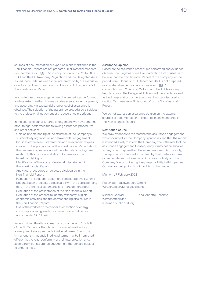sources of documentation or expert opinions mentioned in the Non-financial Report, are not prepared, in all material respects, in accordance with §§ 315c in conjunction with 289c to 289e HGB and the EU Taxonomy Regulation and the Delegated Acts issued thereunder as well as the interpretation by the executive directors disclosed in section "Disclosure on EU taxonomy" of the Non-financial Report.

In a limited assurance engagement the procedures performed are less extensive than in a reasonable assurance engagement, and accordingly a substantially lower level of assurance is obtained. The selection of the assurance procedures is subject to the professional judgement of the assurance practitioner.

In the course of our assurance engagement, we have, amongst other things, performed the following assurance procedures and other activities:

- Gain an understanding of the structure of the Company's sustainability organisation and stakeholder engagement
- Inquiries of the executive directors and relevant employees involved in the preparation of the Non-financial Report about the preparation process, about the internal control system relating to this process and about disclosures in the Non-financial Report
- Identification of likely risks of material misstatement in the Non-financial Report
- Analytical procedures on selected disclosures in the Non-financial Report
- Inspection of additional documents and supportive systems
- Reconciliation of selected disclosures with the corresponding data in the financial statements and management report
- Evaluation of the presentation of the Non-financial Report
- Evaluation of the process to identify taxonomy-eligible economic activities and the corresponding disclosures in the Non-financial Report
- Use of the work of a practitioner´s verification of energy consumption and greenhouse gas emission indicators according to ISO 14064

In determining the disclosures in accordance with Article 8 of the EU Taxonomy Regulation, the executive directors are required to interpret undefined legal terms. Due to the immanent risk that undefined legal terms may be interpreted differently, the legal conformity of their interpretation and, accordingly, our assurance engagement thereon are subject to uncertainties.

#### Assurance Opinion

Based on the assurance procedures performed and evidence obtained, nothing has come to our attention that causes us to believe that the Non-financial Report of the Company for the period from 1 January to 31 December 2021 is not prepared, in all material respects, in accordance with §§ 315c in conjunction with 289c to 289e HGB and the EU Taxonomy Regulation and the Delegated Acts issued thereunder as well as the interpretation by the executive directors disclosed in section "Disclosure on EU taxonomy" of the Non-financial Report.

We do not express an assurance opinion on the external sources of documentation or expert opinions mentioned in the Non-financial Report.

#### Restriction of Use

We draw attention to the fact that the assurance engagement was conducted for the Company's purposes and that the report is intended solely to inform the Company about the result of the assurance engagement. Consequently, it may not be suitable for any other purpose than the aforementioned. Accordingly, the report is not intended to be used by third parties for making (financial) decisions based on it. Our responsibility is to the Company. We do not accept any responsibility to third parties. Our assurance opinion is not modified in this respect.

Munich, 17 February 2022

PricewaterhouseCoopers GmbH Wirtschaftsprüfungsgesellschaft

Wirtschaftsprüfer (German public auditor)

Michael Conrad ppa. Annette Daschner